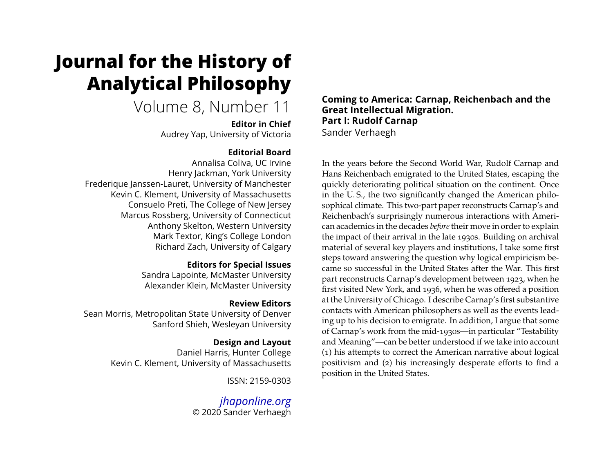# **Journal for the History of Analytical Philosophy**

# Volume 8, Number 11

**Editor in Chief** Audrey Yap, University of Victoria

# **Editorial Board**

Annalisa Coliva, UC Irvine Henry Jackman, York University Frederique Janssen-Lauret, University of Manchester Kevin C. Klement, University of Massachusetts Consuelo Preti, The College of New Jersey Marcus Rossberg, University of Connecticut Anthony Skelton, Western University Mark Textor, King's College London Richard Zach, University of Calgary

## **Editors for Special Issues**

Sandra Lapointe, McMaster University Alexander Klein, McMaster University

# **Review Editors**

Sean Morris, Metropolitan State University of Denver Sanford Shieh, Wesleyan University

# **Design and Layout**

Daniel Harris, Hunter College Kevin C. Klement, University of Massachusetts

ISSN: 2159-0303

*[jhaponline.org](https://jhaponline.org)* © 2020 Sander Verhaegh **Coming to America: Carnap, Reichenbach and the Great Intellectual Migration. Part I: Rudolf Carnap** Sander Verhaegh

In the years before the Second World War, Rudolf Carnap and Hans Reichenbach emigrated to the United States, escaping the quickly deteriorating political situation on the continent. Once in the U. S., the two significantly changed the American philosophical climate. This two-part paper reconstructs Carnap's and Reichenbach's surprisingly numerous interactions with American academics in the decades *before*their move in order to explain the impact of their arrival in the late 1930s. Building on archival material of several key players and institutions, I take some first steps toward answering the question why logical empiricism became so successful in the United States after the War. This first part reconstructs Carnap's development between 1923, when he first visited New York, and 1936, when he was offered a position at the University of Chicago. I describe Carnap's first substantive contacts with American philosophers as well as the events leading up to his decision to emigrate. In addition, I argue that some of Carnap's work from the mid-1930s—in particular "Testability and Meaning"—can be better understood if we take into account (1) his attempts to correct the American narrative about logical positivism and (2) his increasingly desperate efforts to find a position in the United States.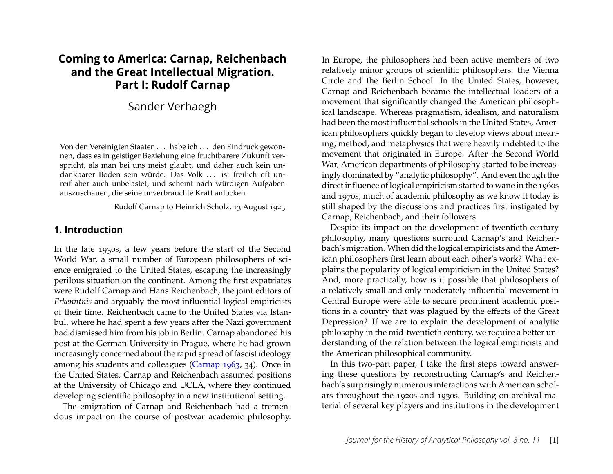# **Coming to America: Carnap, Reichenbach and the Great Intellectual Migration. Part I: Rudolf Carnap**

# Sander Verhaegh

Von den Vereinigten Staaten . . . habe ich . . . den Eindruck gewonnen, dass es in geistiger Beziehung eine fruchtbarere Zukunft verspricht, als man bei uns meist glaubt, und daher auch kein undankbarer Boden sein würde. Das Volk . . . ist freilich oft unreif aber auch unbelastet, und scheint nach würdigen Aufgaben auszuschauen, die seine unverbrauchte Kraft anlocken.

Rudolf Carnap to Heinrich Scholz, 13 August 1923

#### **1. Introduction**

In the late 1930s, a few years before the start of the Second World War, a small number of European philosophers of science emigrated to the United States, escaping the increasingly perilous situation on the continent. Among the first expatriates were Rudolf Carnap and Hans Reichenbach, the joint editors of *Erkenntnis* and arguably the most influential logical empiricists of their time. Reichenbach came to the United States via Istanbul, where he had spent a few years after the Nazi government had dismissed him from his job in Berlin. Carnap abandoned his post at the German University in Prague, where he had grown increasingly concerned about the rapid spread of fascist ideology among his students and colleagues [\(Carnap 1963,](#page-21-0) 34). Once in the United States, Carnap and Reichenbach assumed positions at the University of Chicago and UCLA, where they continued developing scientific philosophy in a new institutional setting.

The emigration of Carnap and Reichenbach had a tremendous impact on the course of postwar academic philosophy.

In Europe, the philosophers had been active members of two relatively minor groups of scientific philosophers: the Vienna Circle and the Berlin School. In the United States, however, Carnap and Reichenbach became the intellectual leaders of a movement that significantly changed the American philosophical landscape. Whereas pragmatism, idealism, and naturalism had been the most influential schools in the United States, American philosophers quickly began to develop views about meaning, method, and metaphysics that were heavily indebted to the movement that originated in Europe. After the Second World War, American departments of philosophy started to be increasingly dominated by "analytic philosophy". And even though the direct influence of logical empiricism started to wane in the 1960s and 1970s, much of academic philosophy as we know it today is still shaped by the discussions and practices first instigated by Carnap, Reichenbach, and their followers.

Despite its impact on the development of twentieth-century philosophy, many questions surround Carnap's and Reichenbach's migration. When did the logical empiricists and the American philosophers first learn about each other's work? What explains the popularity of logical empiricism in the United States? And, more practically, how is it possible that philosophers of a relatively small and only moderately influential movement in Central Europe were able to secure prominent academic positions in a country that was plagued by the effects of the Great Depression? If we are to explain the development of analytic philosophy in the mid-twentieth century, we require a better understanding of the relation between the logical empiricists and the American philosophical community.

In this two-part paper, I take the first steps toward answering these questions by reconstructing Carnap's and Reichenbach's surprisingly numerous interactions with American scholars throughout the 1920s and 1930s. Building on archival material of several key players and institutions in the development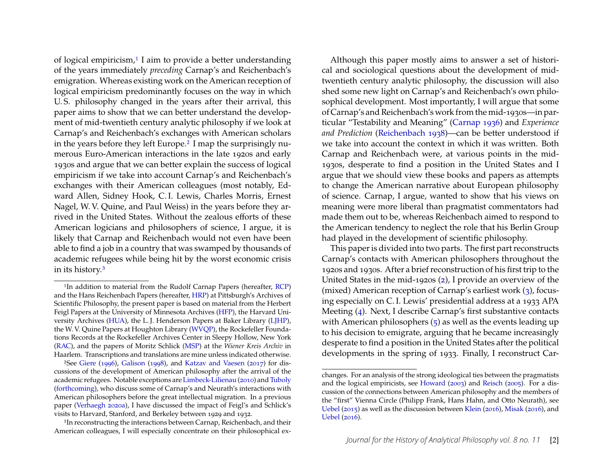of logical empiricism, $1$  I aim to provide a better understanding of the years immediately *preceding* Carnap's and Reichenbach's emigration. Whereas existing work on the American reception of logical empiricism predominantly focuses on the way in which U. S. philosophy changed in the years after their arrival, this paper aims to show that we can better understand the development of mid-twentieth century analytic philosophy if we look at Carnap's and Reichenbach's exchanges with American scholars in the years before they left Europe.[2](#page-2-1) I map the surprisingly numerous Euro-American interactions in the late 1920s and early 1930s and argue that we can better explain the success of logical empiricism if we take into account Carnap's and Reichenbach's exchanges with their American colleagues (most notably, Edward Allen, Sidney Hook, C. I. Lewis, Charles Morris, Ernest Nagel, W. V. Quine, and Paul Weiss) in the years before they arrived in the United States. Without the zealous efforts of these American logicians and philosophers of science, I argue, it is likely that Carnap and Reichenbach would not even have been able to find a job in a country that was swamped by thousands of academic refugees while being hit by the worst economic crisis in its history.[3](#page-2-2)

<span id="page-2-1"></span>2See [Giere](#page-21-1) [\(1996\)](#page-21-1), [Galison](#page-21-2) [\(1998\)](#page-21-2), and [Katzav and Vaesen](#page-22-0) [\(2017\)](#page-22-0) for discussions of the development of American philosophy after the arrival of the academic refugees. Notable exceptions are [Limbeck-Lilienau](#page-22-1) [\(2010\)](#page-22-1) and [Tuboly](#page-23-0) [\(forthcoming\)](#page-23-0), who discuss some of Carnap's and Neurath's interactions with American philosophers before the great intellectual migration. In a previous paper [\(Verhaegh 2020a\)](#page-23-1), I have discussed the impact of Feigl's and Schlick's visits to Harvard, Stanford, and Berkeley between 1929 and 1932.

<span id="page-2-2"></span><sup>3</sup>In reconstructing the interactions between Carnap, Reichenbach, and their American colleagues, I will especially concentrate on their philosophical ex-

Although this paper mostly aims to answer a set of historical and sociological questions about the development of midtwentieth century analytic philosophy, the discussion will also shed some new light on Carnap's and Reichenbach's own philosophical development. Most importantly, I will argue that some of Carnap's and Reichenbach's work from the mid-1930s—in particular "Testability and Meaning" [\(Carnap 1936\)](#page-21-3) and *Experience and Prediction* [\(Reichenbach 1938\)](#page-22-2)—can be better understood if we take into account the context in which it was written. Both Carnap and Reichenbach were, at various points in the mid-1930s, desperate to find a position in the United States and I argue that we should view these books and papers as attempts to change the American narrative about European philosophy of science. Carnap, I argue, wanted to show that his views on meaning were more liberal than pragmatist commentators had made them out to be, whereas Reichenbach aimed to respond to the American tendency to neglect the role that his Berlin Group had played in the development of scientific philosophy.

This paper is divided into two parts. The first part reconstructs Carnap's contacts with American philosophers throughout the 1920s and 1930s. After a brief reconstruction of his first trip to the United States in the mid-1920s [\(2\)](#page-3-0), I provide an overview of the (mixed) American reception of Carnap's earliest work [\(3\)](#page-5-0), focusing especially on C. I. Lewis' presidential address at a 1933 APA Meeting [\(4\)](#page-7-0). Next, I describe Carnap's first substantive contacts with American philosophers  $(5)$  as well as the events leading up to his decision to emigrate, arguing that he became increasingly desperate to find a position in the United States after the political developments in the spring of 1933. Finally, I reconstruct Car-

<span id="page-2-0"></span><sup>&</sup>lt;sup>1</sup>In addition to material from the Rudolf Carnap Papers (hereafter, [RCP\)](#page-20-0) and the Hans Reichenbach Papers (hereafter, [HRP\)](#page-20-1) at Pittsburgh's Archives of Scientific Philosophy, the present paper is based on material from the Herbert Feigl Papers at the University of Minnesota Archives [\(HFP\)](#page-20-2), the Harvard University Archives [\(HUA\)](#page-20-3), the L. J. Henderson Papers at Baker Library [\(LJHP\)](#page-20-4), the W. V. Quine Papers at Houghton Library [\(WVQP\)](#page-20-5), the Rockefeller Foundations Records at the Rockefeller Archives Center in Sleepy Hollow, New York [\(RAC\)](#page-20-6), and the papers of Moritz Schlick [\(MSP\)](#page-20-7) at the *Wiener Kreis Archiv* in Haarlem. Transcriptions and translations are mine unless indicated otherwise.

changes. For an analysis of the strong ideological ties between the pragmatists and the logical empiricists, see [Howard](#page-22-3) [\(2003\)](#page-22-3) and [Reisch](#page-22-4) [\(2005\)](#page-22-4). For a discussion of the connections between American philosophy and the members of the "first" Vienna Circle (Philipp Frank, Hans Hahn, and Otto Neurath), see [Uebel](#page-23-2) [\(2015\)](#page-23-2) as well as the discussion between [Klein](#page-22-5) [\(2016\)](#page-22-5), [Misak](#page-22-6) [\(2016\)](#page-22-6), and [Uebel](#page-23-3) [\(2016\)](#page-23-3).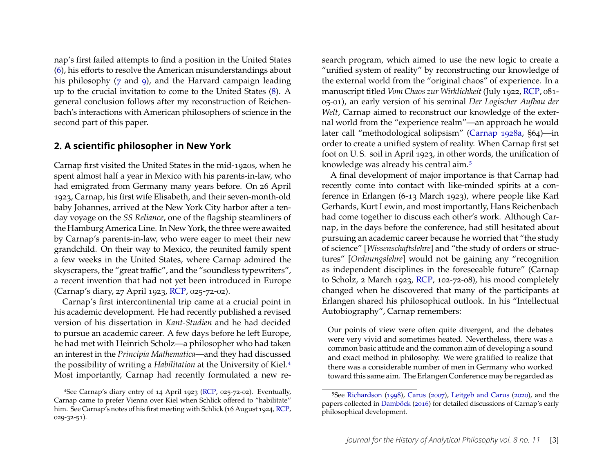nap's first failed attempts to find a position in the United States [\(6\)](#page-11-0), his efforts to resolve the American misunderstandings about his philosophy [\(7](#page-12-0) and [9\)](#page-17-0), and the Harvard campaign leading up to the crucial invitation to come to the United States [\(8\)](#page-14-0). A general conclusion follows after my reconstruction of Reichenbach's interactions with American philosophers of science in the second part of this paper.

#### <span id="page-3-0"></span>**2. A scientific philosopher in New York**

Carnap first visited the United States in the mid-1920s, when he spent almost half a year in Mexico with his parents-in-law, who had emigrated from Germany many years before. On 26 April 1923, Carnap, his first wife Elisabeth, and their seven-month-old baby Johannes, arrived at the New York City harbor after a tenday voyage on the *SS Reliance*, one of the flagship steamliners of the Hamburg America Line. In New York, the three were awaited by Carnap's parents-in-law, who were eager to meet their new grandchild. On their way to Mexico, the reunited family spent a few weeks in the United States, where Carnap admired the skyscrapers, the "great traffic", and the "soundless typewriters", a recent invention that had not yet been introduced in Europe (Carnap's diary, 27 April 1923, [RCP,](#page-20-0) 025-72-02).

Carnap's first intercontinental trip came at a crucial point in his academic development. He had recently published a revised version of his dissertation in *Kant-Studien* and he had decided to pursue an academic career. A few days before he left Europe, he had met with Heinrich Scholz—a philosopher who had taken an interest in the *Principia Mathematica*—and they had discussed the possibility of writing a *Habilitation* at the University of Kiel.[4](#page-3-1) Most importantly, Carnap had recently formulated a new research program, which aimed to use the new logic to create a "unified system of reality" by reconstructing our knowledge of the external world from the "original chaos" of experience. In a manuscript titled *Vom Chaos zur Wirklichkeit* (July 1922, [RCP,](#page-20-0) 081- 05-01), an early version of his seminal *Der Logischer Aufbau der Welt*, Carnap aimed to reconstruct our knowledge of the external world from the "experience realm"—an approach he would later call "methodological solipsism" [\(Carnap 1928a,](#page-21-4) §64)—in order to create a unified system of reality. When Carnap first set foot on U. S. soil in April 1923, in other words, the unification of knowledge was already his central aim.[5](#page-3-2)

A final development of major importance is that Carnap had recently come into contact with like-minded spirits at a conference in Erlangen (6-13 March 1923), where people like Karl Gerhards, Kurt Lewin, and most importantly, Hans Reichenbach had come together to discuss each other's work. Although Carnap, in the days before the conference, had still hesitated about pursuing an academic career because he worried that "the study of science" [*Wissenschaftslehre*] and "the study of orders or structures" [*Ordnungslehre*] would not be gaining any "recognition as independent disciplines in the foreseeable future" (Carnap to Scholz, 2 March 1923, [RCP,](#page-20-0) 102-72-08), his mood completely changed when he discovered that many of the participants at Erlangen shared his philosophical outlook. In his "Intellectual Autobiography", Carnap remembers:

Our points of view were often quite divergent, and the debates were very vivid and sometimes heated. Nevertheless, there was a common basic attitude and the common aim of developing a sound and exact method in philosophy. We were gratified to realize that there was a considerable number of men in Germany who worked toward this same aim. The Erlangen Conference may be regarded as

<span id="page-3-1"></span><sup>4</sup>See Carnap's diary entry of 14 April 1923 [\(RCP,](#page-20-0) 025-72-02). Eventually, Carnap came to prefer Vienna over Kiel when Schlick offered to "habilitate" him. See Carnap's notes of his first meeting with Schlick (16 August 1924, [RCP,](#page-20-0) 029-32-51).

<span id="page-3-2"></span><sup>5</sup>See [Richardson](#page-23-4) [\(1998\)](#page-23-4), [Carus](#page-21-5) [\(2007\)](#page-21-5), [Leitgeb and Carus](#page-22-7) [\(2020\)](#page-22-7), and the papers collected in [Damböck](#page-21-6) [\(2016\)](#page-21-6) for detailed discussions of Carnap's early philosophical development.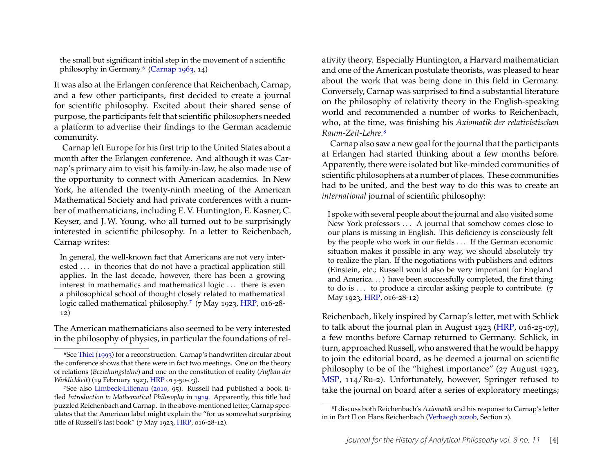the small but significant initial step in the movement of a scientific philosophy in Germany.[6](#page-4-0) [\(Carnap 1963,](#page-21-0) 14)

It was also at the Erlangen conference that Reichenbach, Carnap, and a few other participants, first decided to create a journal for scientific philosophy. Excited about their shared sense of purpose, the participants felt that scientific philosophers needed a platform to advertise their findings to the German academic community.

Carnap left Europe for his first trip to the United States about a month after the Erlangen conference. And although it was Carnap's primary aim to visit his family-in-law, he also made use of the opportunity to connect with American academics. In New York, he attended the twenty-ninth meeting of the American Mathematical Society and had private conferences with a number of mathematicians, including E. V. Huntington, E. Kasner, C. Keyser, and J. W. Young, who all turned out to be surprisingly interested in scientific philosophy. In a letter to Reichenbach, Carnap writes:

In general, the well-known fact that Americans are not very interested ... in theories that do not have a practical application still applies. In the last decade, however, there has been a growing interest in mathematics and mathematical logic . . . there is even a philosophical school of thought closely related to mathematical logic called mathematical philosophy.<sup>[7](#page-4-1)</sup> (7 May 1923, [HRP,](#page-20-1) 016-28-12)

The American mathematicians also seemed to be very interested in the philosophy of physics, in particular the foundations of relativity theory. Especially Huntington, a Harvard mathematician and one of the American postulate theorists, was pleased to hear about the work that was being done in this field in Germany. Conversely, Carnap was surprised to find a substantial literature on the philosophy of relativity theory in the English-speaking world and recommended a number of works to Reichenbach, who, at the time, was finishing his *Axiomatik der relativistischen Raum-Zeit-Lehre*.[8](#page-4-2)

Carnap also saw a new goal for the journal that the participants at Erlangen had started thinking about a few months before. Apparently, there were isolated but like-minded communities of scientific philosophers at a number of places. These communities had to be united, and the best way to do this was to create an *international* journal of scientific philosophy:

I spoke with several people about the journal and also visited some New York professors . . . A journal that somehow comes close to our plans is missing in English. This deficiency is consciously felt by the people who work in our fields . . . If the German economic situation makes it possible in any way, we should absolutely try to realize the plan. If the negotiations with publishers and editors (Einstein, etc.; Russell would also be very important for England and America. . . ) have been successfully completed, the first thing to do is  $\ldots$  to produce a circular asking people to contribute. (7) May 1923, [HRP,](#page-20-1) 016-28-12)

Reichenbach, likely inspired by Carnap's letter, met with Schlick to talk about the journal plan in August 1923 [\(HRP,](#page-20-1) 016-25-07), a few months before Carnap returned to Germany. Schlick, in turn, approached Russell, who answered that he would be happy to join the editorial board, as he deemed a journal on scientific philosophy to be of the "highest importance" (27 August 1923, [MSP,](#page-20-7) 114/Ru-2). Unfortunately, however, Springer refused to take the journal on board after a series of exploratory meetings;

<span id="page-4-0"></span><sup>6</sup>See [Thiel](#page-23-5) [\(1993\)](#page-23-5) for a reconstruction. Carnap's handwritten circular about the conference shows that there were in fact two meetings. One on the theory of relations (*Beziehungslehre*) and one on the constitution of reality (*Aufbau der Wirklichkeit*) (19 February 1923, [HRP](#page-20-1) 015-50-03).

<span id="page-4-1"></span><sup>7</sup>See also [Limbeck-Lilienau](#page-22-1) [\(2010,](#page-22-1) 95). Russell had published a book titled *Introduction to Mathematical Philosophy* in [1919.](#page-23-6) Apparently, this title had puzzled Reichenbach and Carnap. In the above-mentioned letter, Carnap speculates that the American label might explain the "for us somewhat surprising title of Russell's last book" (7 May 1923, [HRP,](#page-20-1) 016-28-12).

<span id="page-4-2"></span><sup>8</sup>I discuss both Reichenbach's *Axiomatik* and his response to Carnap's letter in in Part II on Hans Reichenbach [\(Verhaegh 2020b,](#page-23-7) Section 2).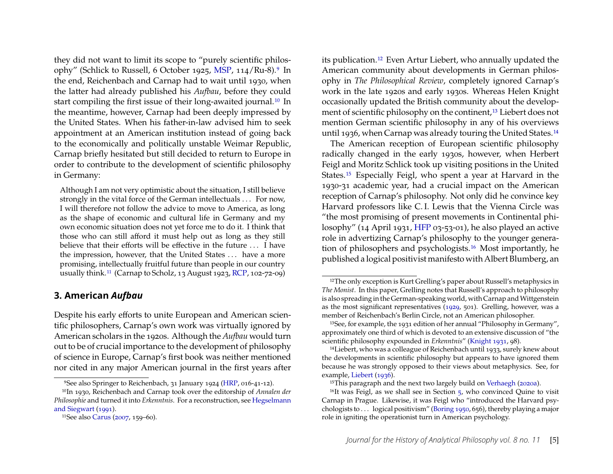they did not want to limit its scope to "purely scientific philosophy" (Schlick to Russell, 6 October 1925, [MSP,](#page-20-7) 114/Ru-8).[9](#page-5-1) In the end, Reichenbach and Carnap had to wait until 1930, when the latter had already published his *Aufbau*, before they could start compiling the first issue of their long-awaited journal.[10](#page-5-2) In the meantime, however, Carnap had been deeply impressed by the United States. When his father-in-law advised him to seek appointment at an American institution instead of going back to the economically and politically unstable Weimar Republic, Carnap briefly hesitated but still decided to return to Europe in order to contribute to the development of scientific philosophy in Germany:

Although I am not very optimistic about the situation, I still believe strongly in the vital force of the German intellectuals . . . For now, I will therefore not follow the advice to move to America, as long as the shape of economic and cultural life in Germany and my own economic situation does not yet force me to do it. I think that those who can still afford it must help out as long as they still believe that their efforts will be effective in the future . . . I have the impression, however, that the United States . . . have a more promising, intellectually fruitful future than people in our country usually think.[11](#page-5-3) (Carnap to Scholz, 13 August 1923, [RCP,](#page-20-0) 102-72-09)

#### <span id="page-5-0"></span>**3. American** *Aufbau*

Despite his early efforts to unite European and American scientific philosophers, Carnap's own work was virtually ignored by American scholars in the 1920s. Although the *Aufbau* would turn out to be of crucial importance to the development of philosophy of science in Europe, Carnap's first book was neither mentioned nor cited in any major American journal in the first years after

its publication.[12](#page-5-4) Even Artur Liebert, who annually updated the American community about developments in German philosophy in *The Philosophical Review*, completely ignored Carnap's work in the late 1920s and early 1930s. Whereas Helen Knight occasionally updated the British community about the development of scientific philosophy on the continent,[13](#page-5-5) Liebert does not mention German scientific philosophy in any of his overviews until 1936, when Carnap was already touring the United States.[14](#page-5-6)

The American reception of European scientific philosophy radically changed in the early 1930s, however, when Herbert Feigl and Moritz Schlick took up visiting positions in the United States.[15](#page-5-7) Especially Feigl, who spent a year at Harvard in the 1930-31 academic year, had a crucial impact on the American reception of Carnap's philosophy. Not only did he convince key Harvard professors like C. I. Lewis that the Vienna Circle was "the most promising of present movements in Continental philosophy" (14 April 1931, [HFP](#page-20-2) 03-53-01), he also played an active role in advertizing Carnap's philosophy to the younger generation of philosophers and psychologists.[16](#page-5-8) Most importantly, he published a logical positivist manifesto with Albert Blumberg, an

<span id="page-5-2"></span><span id="page-5-1"></span><sup>9</sup>See also Springer to Reichenbach, 31 January 1924 [\(HRP,](#page-20-1) 016-41-12).

<sup>10</sup>In 1930, Reichenbach and Carnap took over the editorship of *Annalen der Philosophie* and turned it into *Erkenntnis*. For a reconstruction, see [Hegselmann](#page-21-7) [and Siegwart](#page-21-7) [\(1991\)](#page-21-7).

<span id="page-5-3"></span><sup>11</sup>See also [Carus](#page-21-5) [\(2007,](#page-21-5) 159–60).

<span id="page-5-4"></span><sup>&</sup>lt;sup>12</sup>The only exception is Kurt Grelling's paper about Russell's metaphysics in *The Monist*. In this paper, Grelling notes that Russell's approach to philosophy is also spreading in the German-speaking world, with Carnap and Wittgenstein as the most significant representatives [\(1929,](#page-21-8) 501). Grelling, however, was a member of Reichenbach's Berlin Circle, not an American philosopher.

<span id="page-5-5"></span><sup>13</sup>See, for example, the 1931 edition of her annual "Philosophy in Germany", approximately one third of which is devoted to an extensive discussion of "the scientific philosophy expounded in *Erkenntnis*" [\(Knight 1931,](#page-22-8) 98).

<span id="page-5-6"></span><sup>14</sup>Liebert, who was a colleague of Reichenbach until 1933, surely knew about the developments in scientific philosophy but appears to have ignored them because he was strongly opposed to their views about metaphysics. See, for example, [Liebert](#page-22-9) [\(1936\)](#page-22-9).

<span id="page-5-8"></span><span id="page-5-7"></span><sup>&</sup>lt;sup>15</sup>This paragraph and the next two largely build on [Verhaegh](#page-23-1) [\(2020a\)](#page-23-1).

<sup>&</sup>lt;sup>16</sup>It was Feigl, as we shall see in Section  $5$ , who convinced Quine to visit Carnap in Prague. Likewise, it was Feigl who "introduced the Harvard psychologists to  $\dots$  logical positivism" [\(Boring 1950,](#page-21-9) 656), thereby playing a major role in igniting the operationist turn in American psychology.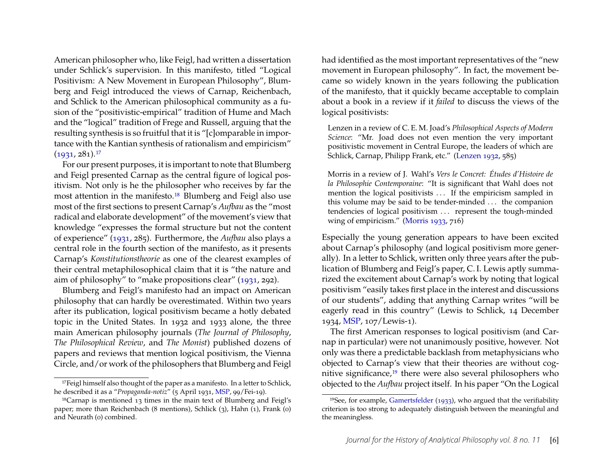American philosopher who, like Feigl, had written a dissertation under Schlick's supervision. In this manifesto, titled "Logical Positivism: A New Movement in European Philosophy", Blumberg and Feigl introduced the views of Carnap, Reichenbach, and Schlick to the American philosophical community as a fusion of the "positivistic-empirical" tradition of Hume and Mach and the "logical" tradition of Frege and Russell, arguing that the resulting synthesis is so fruitful that it is "[c]omparable in importance with the Kantian synthesis of rationalism and empiricism"  $(1931, 281).$  $(1931, 281).$ <sup>[17](#page-6-0)</sup>

For our present purposes, it is important to note that Blumberg and Feigl presented Carnap as the central figure of logical positivism. Not only is he the philosopher who receives by far the most attention in the manifesto.<sup>[18](#page-6-1)</sup> Blumberg and Feigl also use most of the first sections to present Carnap's *Aufbau* as the "most radical and elaborate development" of the movement's view that knowledge "expresses the formal structure but not the content of experience" [\(1931,](#page-20-8) 285). Furthermore, the *Aufbau* also plays a central role in the fourth section of the manifesto, as it presents Carnap's *Konstitutionstheorie* as one of the clearest examples of their central metaphilosophical claim that it is "the nature and aim of philosophy" to "make propositions clear" [\(1931,](#page-20-8) 292).

Blumberg and Feigl's manifesto had an impact on American philosophy that can hardly be overestimated. Within two years after its publication, logical positivism became a hotly debated topic in the United States. In 1932 and 1933 alone, the three main American philosophy journals (*The Journal of Philosophy*, *The Philosophical Review*, and *The Monist*) published dozens of papers and reviews that mention logical positivism, the Vienna Circle, and/or work of the philosophers that Blumberg and Feigl

had identified as the most important representatives of the "new movement in European philosophy". In fact, the movement became so widely known in the years following the publication of the manifesto, that it quickly became acceptable to complain about a book in a review if it *failed* to discuss the views of the logical positivists:

Lenzen in a review of C. E. M. Joad's *Philosophical Aspects of Modern Science*: "Mr. Joad does not even mention the very important positivistic movement in Central Europe, the leaders of which are Schlick, Carnap, Philipp Frank, etc." [\(Lenzen 1932,](#page-22-10) 585)

Morris in a review of J. Wahl's *Vers le Concret: Études d'Histoire de la Philosophie Contemporaine*: "It is significant that Wahl does not mention the logical positivists ... If the empiricism sampled in this volume may be said to be tender-minded . . . the companion tendencies of logical positivism ... represent the tough-minded wing of empiricism." [\(Morris 1933,](#page-22-11) 716)

Especially the young generation appears to have been excited about Carnap's philosophy (and logical positivism more generally). In a letter to Schlick, written only three years after the publication of Blumberg and Feigl's paper, C. I. Lewis aptly summarized the excitement about Carnap's work by noting that logical positivism "easily takes first place in the interest and discussions of our students", adding that anything Carnap writes "will be eagerly read in this country" (Lewis to Schlick, 14 December 1934, [MSP,](#page-20-7) 107/Lewis-1).

The first American responses to logical positivism (and Carnap in particular) were not unanimously positive, however. Not only was there a predictable backlash from metaphysicians who objected to Carnap's view that their theories are without cognitive significance,[19](#page-6-2) there were also several philosophers who objected to the *Aufbau* project itself. In his paper "On the Logical

<span id="page-6-0"></span><sup>&</sup>lt;sup>17</sup>Feigl himself also thought of the paper as a manifesto. In a letter to Schlick, he described it as a "*Propaganda-notiz*" (5 April 1931, [MSP,](#page-20-7) 99/Fei-19).

<span id="page-6-1"></span><sup>18</sup>Carnap is mentioned 13 times in the main text of Blumberg and Feigl's paper; more than Reichenbach (8 mentions), Schlick (3), Hahn (1), Frank (0) and Neurath (0) combined.

<span id="page-6-2"></span><sup>19</sup>See, for example, [Gamertsfelder](#page-21-10) [\(1933\)](#page-21-10), who argued that the verifiability criterion is too strong to adequately distinguish between the meaningful and the meaningless.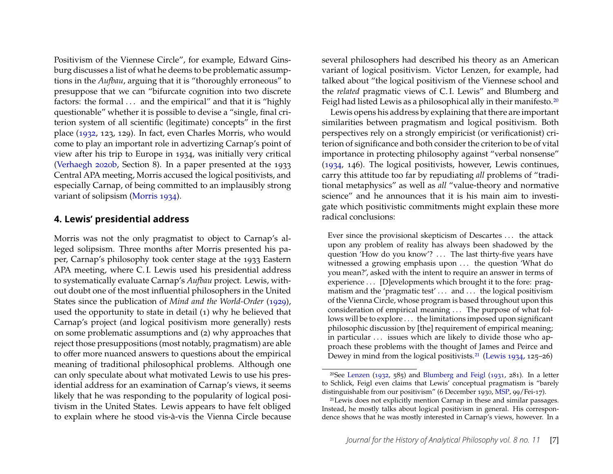Positivism of the Viennese Circle", for example, Edward Ginsburg discusses a list of what he deems to be problematic assumptions in the *Aufbau*, arguing that it is "thoroughly erroneous" to presuppose that we can "bifurcate cognition into two discrete factors: the formal ... and the empirical" and that it is "highly questionable" whether it is possible to devise a "single, final criterion system of all scientific (legitimate) concepts" in the first place [\(1932,](#page-21-11) 123, 129). In fact, even Charles Morris, who would come to play an important role in advertizing Carnap's point of view after his trip to Europe in 1934, was initially very critical [\(Verhaegh 2020b,](#page-23-7) Section 8). In a paper presented at the 1933 Central APA meeting, Morris accused the logical positivists, and especially Carnap, of being committed to an implausibly strong variant of solipsism [\(Morris 1934\)](#page-22-12).

#### <span id="page-7-0"></span>**4. Lewis' presidential address**

Morris was not the only pragmatist to object to Carnap's alleged solipsism. Three months after Morris presented his paper, Carnap's philosophy took center stage at the 1933 Eastern APA meeting, where C. I. Lewis used his presidential address to systematically evaluate Carnap's *Aufbau* project. Lewis, without doubt one of the most influential philosophers in the United States since the publication of *Mind and the World-Order* [\(1929\)](#page-22-13), used the opportunity to state in detail (1) why he believed that Carnap's project (and logical positivism more generally) rests on some problematic assumptions and (2) why approaches that reject those presuppositions (most notably, pragmatism) are able to offer more nuanced answers to questions about the empirical meaning of traditional philosophical problems. Although one can only speculate about what motivated Lewis to use his presidential address for an examination of Carnap's views, it seems likely that he was responding to the popularity of logical positivism in the United States. Lewis appears to have felt obliged to explain where he stood vis-à-vis the Vienna Circle because several philosophers had described his theory as an American variant of logical positivism. Victor Lenzen, for example, had talked about "the logical positivism of the Viennese school and the *related* pragmatic views of C. I. Lewis" and Blumberg and Feigl had listed Lewis as a philosophical ally in their manifesto.<sup>[20](#page-7-1)</sup>

Lewis opens his address by explaining that there are important similarities between pragmatism and logical positivism. Both perspectives rely on a strongly empiricist (or verificationist) criterion of significance and both consider the criterion to be of vital importance in protecting philosophy against "verbal nonsense" [\(1934,](#page-22-14) 146). The logical positivists, however, Lewis continues, carry this attitude too far by repudiating *all* problems of "traditional metaphysics" as well as *all* "value-theory and normative science" and he announces that it is his main aim to investigate which positivistic commitments might explain these more radical conclusions:

Ever since the provisional skepticism of Descartes . . . the attack upon any problem of reality has always been shadowed by the question 'How do you know'? ... The last thirty-five years have witnessed a growing emphasis upon ... the question 'What do you mean?', asked with the intent to require an answer in terms of experience . . . [D]evelopments which brought it to the fore: pragmatism and the 'pragmatic test' . . . and . . . the logical positivism of the Vienna Circle, whose program is based throughout upon this consideration of empirical meaning . . . The purpose of what follows will be to explore . . . the limitations imposed upon significant philosophic discussion by [the] requirement of empirical meaning; in particular ... issues which are likely to divide those who approach these problems with the thought of James and Peirce and Dewey in mind from the logical positivists.<sup>[21](#page-7-2)</sup> [\(Lewis 1934,](#page-22-14) 125-26)

<span id="page-7-1"></span><sup>&</sup>lt;sup>20</sup>See [Lenzen](#page-22-10) [\(1932,](#page-22-10) 585) and [Blumberg and Feigl](#page-20-8) [\(1931,](#page-20-8) 281). In a letter to Schlick, Feigl even claims that Lewis' conceptual pragmatism is "barely distinguishable from our positivism" (6 December 1930, [MSP,](#page-20-7) 99/Fei-17).

<span id="page-7-2"></span><sup>21</sup>Lewis does not explicitly mention Carnap in these and similar passages. Instead, he mostly talks about logical positivism in general. His correspondence shows that he was mostly interested in Carnap's views, however. In a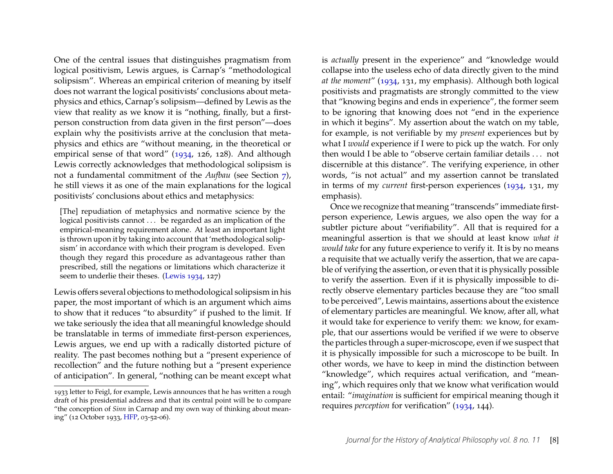One of the central issues that distinguishes pragmatism from logical positivism, Lewis argues, is Carnap's "methodological solipsism". Whereas an empirical criterion of meaning by itself does not warrant the logical positivists' conclusions about metaphysics and ethics, Carnap's solipsism—defined by Lewis as the view that reality as we know it is "nothing, finally, but a firstperson construction from data given in the first person"—does explain why the positivists arrive at the conclusion that metaphysics and ethics are "without meaning, in the theoretical or empirical sense of that word" [\(1934,](#page-22-14) 126, 128). And although Lewis correctly acknowledges that methodological solipsism is not a fundamental commitment of the *Aufbau* (see Section [7\)](#page-12-0), he still views it as one of the main explanations for the logical positivists' conclusions about ethics and metaphysics:

[The] repudiation of metaphysics and normative science by the logical positivists cannot ... be regarded as an implication of the empirical-meaning requirement alone. At least an important light is thrown upon it by taking into account that 'methodological solipsism' in accordance with which their program is developed. Even though they regard this procedure as advantageous rather than prescribed, still the negations or limitations which characterize it seem to underlie their theses. [\(Lewis 1934,](#page-22-14) 127)

Lewis offers several objections to methodological solipsism in his paper, the most important of which is an argument which aims to show that it reduces "to absurdity" if pushed to the limit. If we take seriously the idea that all meaningful knowledge should be translatable in terms of immediate first-person experiences, Lewis argues, we end up with a radically distorted picture of reality. The past becomes nothing but a "present experience of recollection" and the future nothing but a "present experience of anticipation". In general, "nothing can be meant except what is *actually* present in the experience" and "knowledge would collapse into the useless echo of data directly given to the mind *at the moment*" [\(1934,](#page-22-14) 131, my emphasis). Although both logical positivists and pragmatists are strongly committed to the view that "knowing begins and ends in experience", the former seem to be ignoring that knowing does not "end in the experience in which it begins". My assertion about the watch on my table, for example, is not verifiable by my *present* experiences but by what I *would* experience if I were to pick up the watch. For only then would I be able to "observe certain familiar details . . . not discernible at this distance". The verifying experience, in other words, "is not actual" and my assertion cannot be translated in terms of my *current* first-person experiences [\(1934,](#page-22-14) 131, my emphasis).

Once we recognize that meaning "transcends" immediate firstperson experience, Lewis argues, we also open the way for a subtler picture about "verifiability". All that is required for a meaningful assertion is that we should at least know *what it would take* for any future experience to verify it. It is by no means a requisite that we actually verify the assertion, that we are capable of verifying the assertion, or even that it is physically possible to verify the assertion. Even if it is physically impossible to directly observe elementary particles because they are "too small to be perceived", Lewis maintains, assertions about the existence of elementary particles are meaningful. We know, after all, what it would take for experience to verify them: we know, for example, that our assertions would be verified if we were to observe the particles through a super-microscope, even if we suspect that it is physically impossible for such a microscope to be built. In other words, we have to keep in mind the distinction between "knowledge", which requires actual verification, and "meaning", which requires only that we know what verification would entail: "*imagination* is sufficient for empirical meaning though it requires *perception* for verification" [\(1934,](#page-22-14) 144).

<sup>1933</sup> letter to Feigl, for example, Lewis announces that he has written a rough draft of his presidential address and that its central point will be to compare "the conception of *Sinn* in Carnap and my own way of thinking about meaning" (12 October 1933, [HFP,](#page-20-2) 03-52-06).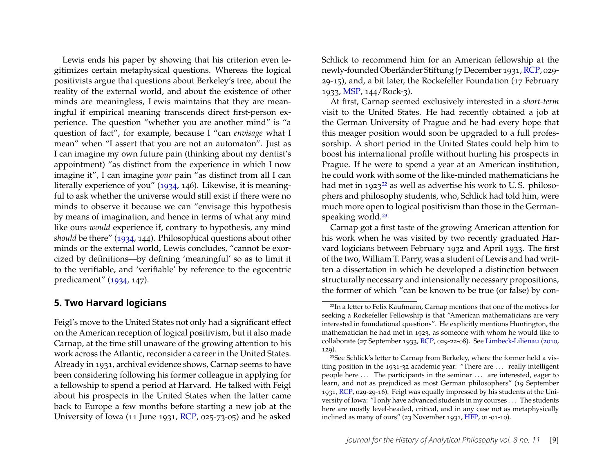Lewis ends his paper by showing that his criterion even legitimizes certain metaphysical questions. Whereas the logical positivists argue that questions about Berkeley's tree, about the reality of the external world, and about the existence of other minds are meaningless, Lewis maintains that they are meaningful if empirical meaning transcends direct first-person experience. The question "whether you are another mind" is "a question of fact", for example, because I "can *envisage* what I mean" when "I assert that you are not an automaton". Just as I can imagine my own future pain (thinking about my dentist's appointment) "as distinct from the experience in which I now imagine it", I can imagine *your* pain "as distinct from all I can literally experience of you" [\(1934,](#page-22-14) 146). Likewise, it is meaningful to ask whether the universe would still exist if there were no minds to observe it because we can "envisage this hypothesis by means of imagination, and hence in terms of what any mind like ours *would* experience if, contrary to hypothesis, any mind *should* be there" [\(1934,](#page-22-14) 144). Philosophical questions about other minds or the external world, Lewis concludes, "cannot be exorcized by definitions—by defining 'meaningful' so as to limit it to the verifiable, and 'verifiable' by reference to the egocentric predicament" [\(1934,](#page-22-14) 147).

#### <span id="page-9-0"></span>**5. Two Harvard logicians**

Feigl's move to the United States not only had a significant effect on the American reception of logical positivism, but it also made Carnap, at the time still unaware of the growing attention to his work across the Atlantic, reconsider a career in the United States. Already in 1931, archival evidence shows, Carnap seems to have been considering following his former colleague in applying for a fellowship to spend a period at Harvard. He talked with Feigl about his prospects in the United States when the latter came back to Europe a few months before starting a new job at the University of Iowa (11 June 1931, [RCP,](#page-20-0) 025-73-05) and he asked

Schlick to recommend him for an American fellowship at the newly-founded Oberländer Stiftung (7 December 1931, [RCP,](#page-20-0) 029- 29-15), and, a bit later, the Rockefeller Foundation (17 February 1933, [MSP,](#page-20-7) 144/Rock-3).

At first, Carnap seemed exclusively interested in a *short-term* visit to the United States. He had recently obtained a job at the German University of Prague and he had every hope that this meager position would soon be upgraded to a full professorship. A short period in the United States could help him to boost his international profile without hurting his prospects in Prague. If he were to spend a year at an American institution, he could work with some of the like-minded mathematicians he had met in  $1923^{22}$  $1923^{22}$  $1923^{22}$  as well as advertise his work to U.S. philosophers and philosophy students, who, Schlick had told him, were much more open to logical positivism than those in the German-speaking world.<sup>[23](#page-9-2)</sup>

Carnap got a first taste of the growing American attention for his work when he was visited by two recently graduated Harvard logicians between February 1932 and April 1933. The first of the two, William T. Parry, was a student of Lewis and had written a dissertation in which he developed a distinction between structurally necessary and intensionally necessary propositions, the former of which "can be known to be true (or false) by con-

<span id="page-9-1"></span><sup>22</sup>In a letter to Felix Kaufmann, Carnap mentions that one of the motives for seeking a Rockefeller Fellowship is that "American mathematicians are very interested in foundational questions". He explicitly mentions Huntington, the mathematician he had met in 1923, as someone with whom he would like to collaborate (27 September 1933, [RCP,](#page-20-0) 029-22-08). See [Limbeck-Lilienau](#page-22-1) [\(2010,](#page-22-1) 129).

<span id="page-9-2"></span><sup>23</sup>See Schlick's letter to Carnap from Berkeley, where the former held a visiting position in the 1931-32 academic year: "There are . . . really intelligent people here . . . The participants in the seminar . . . are interested, eager to learn, and not as prejudiced as most German philosophers" (19 September 1931, [RCP,](#page-20-0) 029-29-16). Feigl was equally impressed by his students at the University of Iowa: "I only have advanced students in my courses . . . The students here are mostly level-headed, critical, and in any case not as metaphysically inclined as many of ours" (23 November 1931, [HFP,](#page-20-2) 01-01-10).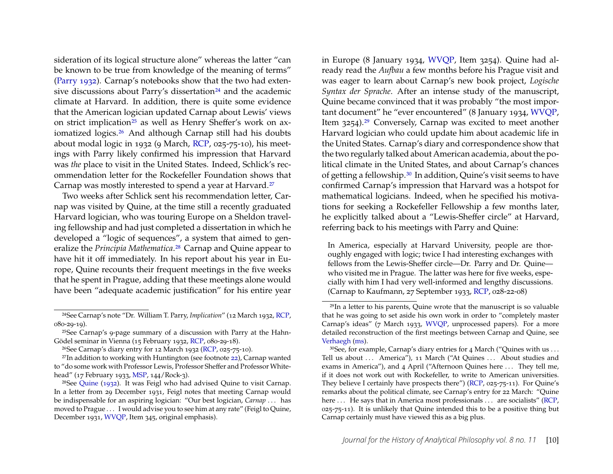sideration of its logical structure alone" whereas the latter "can be known to be true from knowledge of the meaning of terms" [\(Parry 1932\)](#page-22-15). Carnap's notebooks show that the two had exten-sive discussions about Parry's dissertation<sup>[24](#page-10-0)</sup> and the academic climate at Harvard. In addition, there is quite some evidence that the American logician updated Carnap about Lewis' views on strict implication<sup>[25](#page-10-1)</sup> as well as Henry Sheffer's work on axiomatized logics.[26](#page-10-2) And although Carnap still had his doubts about modal logic in 1932 (9 March, [RCP,](#page-20-0) 025-75-10), his meetings with Parry likely confirmed his impression that Harvard was *the* place to visit in the United States. Indeed, Schlick's recommendation letter for the Rockefeller Foundation shows that Carnap was mostly interested to spend a year at Harvard.[27](#page-10-3)

Two weeks after Schlick sent his recommendation letter, Carnap was visited by Quine, at the time still a recently graduated Harvard logician, who was touring Europe on a Sheldon traveling fellowship and had just completed a dissertation in which he developed a "logic of sequences", a system that aimed to generalize the *Principia Mathematica*.[28](#page-10-4) Carnap and Quine appear to have hit it off immediately. In his report about his year in Europe, Quine recounts their frequent meetings in the five weeks that he spent in Prague, adding that these meetings alone would have been "adequate academic justification" for his entire year

in Europe (8 January 1934, [WVQP,](#page-20-5) Item 3254). Quine had already read the *Aufbau* a few months before his Prague visit and was eager to learn about Carnap's new book project, *Logische Syntax der Sprache*. After an intense study of the manuscript, Quine became convinced that it was probably "the most important document" he "ever encountered" (8 January 1934, [WVQP,](#page-20-5) Item 3254).<sup>[29](#page-10-5)</sup> Conversely, Carnap was excited to meet another Harvard logician who could update him about academic life in the United States. Carnap's diary and correspondence show that the two regularly talked about American academia, about the political climate in the United States, and about Carnap's chances of getting a fellowship.[30](#page-10-6) In addition, Quine's visit seems to have confirmed Carnap's impression that Harvard was a hotspot for mathematical logicians. Indeed, when he specified his motivations for seeking a Rockefeller Fellowship a few months later, he explicitly talked about a "Lewis-Sheffer circle" at Harvard, referring back to his meetings with Parry and Quine:

In America, especially at Harvard University, people are thoroughly engaged with logic; twice I had interesting exchanges with fellows from the Lewis-Sheffer circle—Dr. Parry and Dr. Quine who visited me in Prague. The latter was here for five weeks, especially with him I had very well-informed and lengthy discussions. (Carnap to Kaufmann, 27 September 1933, [RCP,](#page-20-0) 028-22-08)

<span id="page-10-0"></span><sup>24</sup>See Carnap's note "Dr. William T. Parry, *Implication*" (12 March 1932, [RCP,](#page-20-0) 080-29-19).

<span id="page-10-1"></span><sup>25</sup>See Carnap's 9-page summary of a discussion with Parry at the Hahn-Gödel seminar in Vienna (15 February 1932, [RCP,](#page-20-0) 080-29-18).

<span id="page-10-3"></span><span id="page-10-2"></span><sup>26</sup>See Carnap's diary entry for 12 March 1932 [\(RCP,](#page-20-0) 025-75-10).

 $27$ In addition to working with Huntington (see footnote [22\)](#page-9-1), Carnap wanted to "do some work with Professor Lewis, Professor Sheffer and Professor Whitehead" (17 February 1933, [MSP,](#page-20-7) 144/Rock-3).

<span id="page-10-4"></span><sup>28</sup>See [Quine](#page-22-16) [\(1932\)](#page-22-16). It was Feigl who had advised Quine to visit Carnap. In a letter from 29 December 1931, Feigl notes that meeting Carnap would be indispensable for an aspiring logician: "Our best logician, *Carnap* . . . has moved to Prague . . . I would advise you to see him at any rate" (Feigl to Quine, December 1931, [WVQP,](#page-20-5) Item 345, original emphasis).

<span id="page-10-5"></span><sup>29</sup>In a letter to his parents, Quine wrote that the manuscript is so valuable that he was going to set aside his own work in order to "completely master Carnap's ideas" (7 March 1933, [WVQP,](#page-20-5) unprocessed papers). For a more detailed reconstruction of the first meetings between Carnap and Quine, see [Verhaegh](#page-23-8) [\(ms\)](#page-23-8).

<span id="page-10-6"></span><sup>&</sup>lt;sup>30</sup>See, for example, Carnap's diary entries for 4 March ("Quines with us ... Tell us about ... America"), 11 March ("At Quines ... About studies and exams in America"), and 4 April ("Afternoon Quines here ... They tell me, if it does not work out with Rockefeller, to write to American universities. They believe I certainly have prospects there") [\(RCP,](#page-20-0) 025-75-11). For Quine's remarks about the political climate, see Carnap's entry for 22 March: "Quine here ... He says that in America most professionals ... are socialists" [\(RCP,](#page-20-0) 025-75-11). It is unlikely that Quine intended this to be a positive thing but Carnap certainly must have viewed this as a big plus.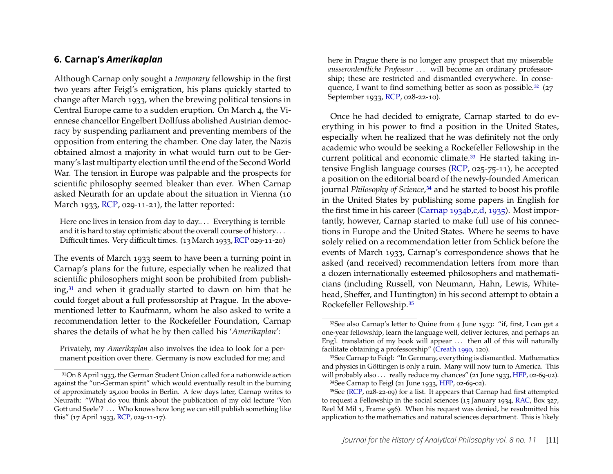#### <span id="page-11-0"></span>**6. Carnap's** *Amerikaplan*

Although Carnap only sought a *temporary* fellowship in the first two years after Feigl's emigration, his plans quickly started to change after March 1933, when the brewing political tensions in Central Europe came to a sudden eruption. On March 4, the Viennese chancellor Engelbert Dollfuss abolished Austrian democracy by suspending parliament and preventing members of the opposition from entering the chamber. One day later, the Nazis obtained almost a majority in what would turn out to be Germany's last multiparty election until the end of the Second World War. The tension in Europe was palpable and the prospects for scientific philosophy seemed bleaker than ever. When Carnap asked Neurath for an update about the situation in Vienna (10 March 1933, [RCP,](#page-20-0) 029-11-21), the latter reported:

Here one lives in tension from day to day.... Everything is terrible and it is hard to stay optimistic about the overall course of history. . . Difficult times. Very difficult times. (13 March 1933, [RCP](#page-20-0) 029-11-20)

The events of March 1933 seem to have been a turning point in Carnap's plans for the future, especially when he realized that scientific philosophers might soon be prohibited from publishing, $31$  and when it gradually started to dawn on him that he could forget about a full professorship at Prague. In the abovementioned letter to Kaufmann, whom he also asked to write a recommendation letter to the Rockefeller Foundation, Carnap shares the details of what he by then called his '*Amerikaplan*':

Privately, my *Amerikaplan* also involves the idea to look for a permanent position over there. Germany is now excluded for me; and

here in Prague there is no longer any prospect that my miserable *ausserordentliche Professur* . . . will become an ordinary professorship; these are restricted and dismantled everywhere. In conse-quence, I want to find something better as soon as possible.<sup>[32](#page-11-2)</sup> (27 September 1933, [RCP,](#page-20-0) 028-22-10).

Once he had decided to emigrate, Carnap started to do everything in his power to find a position in the United States, especially when he realized that he was definitely not the only academic who would be seeking a Rockefeller Fellowship in the current political and economic climate.[33](#page-11-3) He started taking intensive English language courses [\(RCP,](#page-20-0) 025-75-11), he accepted a position on the editorial board of the newly-founded American journal *Philosophy of Science*,[34](#page-11-4) and he started to boost his profile in the United States by publishing some papers in English for the first time in his career [\(Carnap 1934b,](#page-21-12)[c,](#page-21-13)[d,](#page-21-14) [1935\)](#page-21-15). Most importantly, however, Carnap started to make full use of his connections in Europe and the United States. Where he seems to have solely relied on a recommendation letter from Schlick before the events of March 1933, Carnap's correspondence shows that he asked (and received) recommendation letters from more than a dozen internationally esteemed philosophers and mathematicians (including Russell, von Neumann, Hahn, Lewis, Whitehead, Sheffer, and Huntington) in his second attempt to obtain a Rockefeller Fellowship.[35](#page-11-5)

<span id="page-11-1"></span><sup>31</sup>On 8 April 1933, the German Student Union called for a nationwide action against the "un-German spirit" which would eventually result in the burning of approximately 25,000 books in Berlin. A few days later, Carnap writes to Neurath: "What do you think about the publication of my old lecture 'Von Gott und Seele'? ... Who knows how long we can still publish something like this" (17 April 1933, [RCP,](#page-20-0) 029-11-17).

<span id="page-11-2"></span><sup>32</sup>See also Carnap's letter to Quine from 4 June 1933: "if, first, I can get a one-year fellowship, learn the language well, deliver lectures, and perhaps an Engl. translation of my book will appear  $\dots$  then all of this will naturally facilitate obtaining a professorship" [\(Creath 1990,](#page-21-16) 120).

<span id="page-11-3"></span><sup>33</sup>See Carnap to Feigl: "In Germany, everything is dismantled. Mathematics and physics in Göttingen is only a ruin. Many will now turn to America. This will probably also . . . really reduce my chances" (21 June 1933, [HFP,](#page-20-2) 02-69-02). 34See Carnap to Feigl (21 June 1933, [HFP,](#page-20-2) 02-69-02).

<span id="page-11-5"></span><span id="page-11-4"></span><sup>&</sup>lt;sup>35</sup>See [\(RCP,](#page-20-0) 028-22-09) for a list. It appears that Carnap had first attempted to request a Fellowship in the social sciences (15 January 1934, [RAC,](#page-20-6) Box 327, Reel M Mil 1, Frame 956). When his request was denied, he resubmitted his application to the mathematics and natural sciences department. This is likely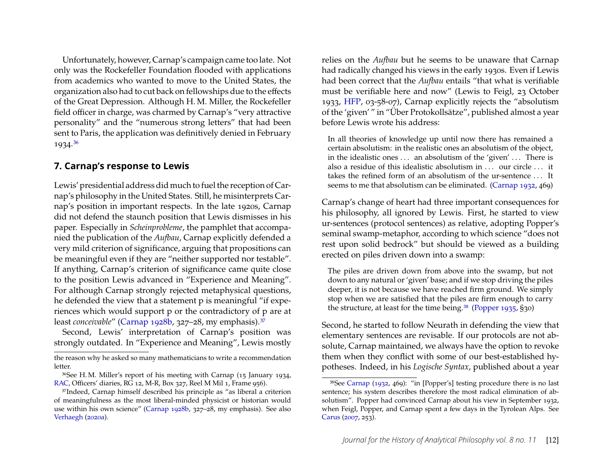Unfortunately, however, Carnap's campaign came too late. Not only was the Rockefeller Foundation flooded with applications from academics who wanted to move to the United States, the organization also had to cut back on fellowships due to the effects of the Great Depression. Although H. M. Miller, the Rockefeller field officer in charge, was charmed by Carnap's "very attractive personality" and the "numerous strong letters" that had been sent to Paris, the application was definitively denied in February 1934.[36](#page-12-1)

#### <span id="page-12-0"></span>**7. Carnap's response to Lewis**

Lewis' presidential address did much to fuel the reception of Carnap's philosophy in the United States. Still, he misinterprets Carnap's position in important respects. In the late 1920s, Carnap did not defend the staunch position that Lewis dismisses in his paper. Especially in *Scheinprobleme*, the pamphlet that accompanied the publication of the *Aufbau*, Carnap explicitly defended a very mild criterion of significance, arguing that propositions can be meaningful even if they are "neither supported nor testable". If anything, Carnap's criterion of significance came quite close to the position Lewis advanced in "Experience and Meaning". For although Carnap strongly rejected metaphysical questions, he defended the view that a statement p is meaningful "if experiences which would support p or the contradictory of p are at least *conceivable"* [\(Carnap 1928b,](#page-21-17) 327-28, my emphasis).<sup>[37](#page-12-2)</sup>

Second, Lewis' interpretation of Carnap's position was strongly outdated. In "Experience and Meaning", Lewis mostly

relies on the *Aufbau* but he seems to be unaware that Carnap had radically changed his views in the early 1930s. Even if Lewis had been correct that the *Aufbau* entails "that what is verifiable must be verifiable here and now" (Lewis to Feigl, 23 October 1933, [HFP,](#page-20-2) 03-58-07), Carnap explicitly rejects the "absolutism of the 'given' " in "Über Protokollsätze", published almost a year before Lewis wrote his address:

In all theories of knowledge up until now there has remained a certain absolutism: in the realistic ones an absolutism of the object, in the idealistic ones . . . an absolutism of the 'given' . . . There is also a residue of this idealistic absolutism in ... our circle ... it takes the refined form of an absolutism of the ur-sentence . . . It seems to me that absolutism can be eliminated. [\(Carnap 1932,](#page-21-18) 469)

Carnap's change of heart had three important consequences for his philosophy, all ignored by Lewis. First, he started to view ur-sentences (protocol sentences) as relative, adopting Popper's seminal swamp-metaphor, according to which science "does not rest upon solid bedrock" but should be viewed as a building erected on piles driven down into a swamp:

The piles are driven down from above into the swamp, but not down to any natural or 'given' base; and if we stop driving the piles deeper, it is not because we have reached firm ground. We simply stop when we are satisfied that the piles are firm enough to carry the structure, at least for the time being.[38](#page-12-3) [\(Popper 1935,](#page-22-17) §30)

Second, he started to follow Neurath in defending the view that elementary sentences are revisable. If our protocols are not absolute, Carnap maintained, we always have the option to revoke them when they conflict with some of our best-established hypotheses. Indeed, in his *Logische Syntax*, published about a year

the reason why he asked so many mathematicians to write a recommendation letter.

<span id="page-12-1"></span><sup>36</sup>See H. M. Miller's report of his meeting with Carnap (15 January 1934, [RAC,](#page-20-6) Officers' diaries, RG 12, M-R, Box 327, Reel M Mil 1, Frame 956).

<span id="page-12-2"></span><sup>37</sup>Indeed, Carnap himself described his principle as "as liberal a criterion of meaningfulness as the most liberal-minded physicist or historian would use within his own science" [\(Carnap 1928b,](#page-21-17) 327–28, my emphasis). See also [Verhaegh](#page-23-1) [\(2020a\)](#page-23-1).

<span id="page-12-3"></span><sup>38</sup>See [Carnap](#page-21-18) [\(1932,](#page-21-18) 469): "in [Popper's] testing procedure there is no last sentence; his system describes therefore the most radical elimination of absolutism". Popper had convinced Carnap about his view in September 1932, when Feigl, Popper, and Carnap spent a few days in the Tyrolean Alps. See [Carus](#page-21-5) [\(2007,](#page-21-5) 253).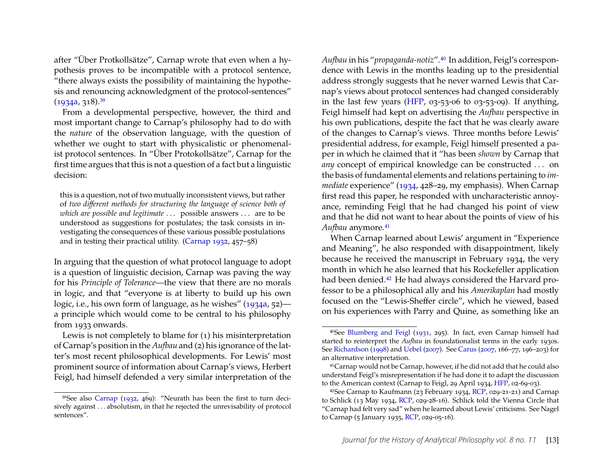after "Über Protkollsätze", Carnap wrote that even when a hypothesis proves to be incompatible with a protocol sentence, "there always exists the possibility of maintaining the hypothesis and renouncing acknowledgment of the protocol-sentences"  $(1934a, 318).^{39}$  $(1934a, 318).^{39}$  $(1934a, 318).^{39}$  $(1934a, 318).^{39}$ 

From a developmental perspective, however, the third and most important change to Carnap's philosophy had to do with the *nature* of the observation language, with the question of whether we ought to start with physicalistic or phenomenalist protocol sentences. In "Über Protokollsätze", Carnap for the first time argues that this is not a question of a fact but a linguistic decision:

this is a question, not of two mutually inconsistent views, but rather of *two different methods for structuring the language of science both of which are possible and legitimate* . . . possible answers . . . are to be understood as suggestions for postulates; the task consists in investigating the consequences of these various possible postulations and in testing their practical utility. [\(Carnap 1932,](#page-21-18) 457–58)

In arguing that the question of what protocol language to adopt is a question of linguistic decision, Carnap was paving the way for his *Principle of Tolerance*—the view that there are no morals in logic, and that "everyone is at liberty to build up his own logic, i.e., his own form of language, as he wishes" [\(1934a,](#page-21-19) 52) a principle which would come to be central to his philosophy from 1933 onwards.

Lewis is not completely to blame for (1) his misinterpretation of Carnap's position in the *Aufbau* and (2) his ignorance of the latter's most recent philosophical developments. For Lewis' most prominent source of information about Carnap's views, Herbert Feigl, had himself defended a very similar interpretation of the

*Aufbau* in his "*propaganda-notiz*".[40](#page-13-1) In addition, Feigl's correspondence with Lewis in the months leading up to the presidential address strongly suggests that he never warned Lewis that Carnap's views about protocol sentences had changed considerably in the last few years [\(HFP,](#page-20-2)  $03-53-06$  to  $03-53-09$ ). If anything, Feigl himself had kept on advertising the *Aufbau* perspective in his own publications, despite the fact that he was clearly aware of the changes to Carnap's views. Three months before Lewis' presidential address, for example, Feigl himself presented a paper in which he claimed that it "has been *shown* by Carnap that *any* concept of empirical knowledge can be constructed . . . on the basis of fundamental elements and relations pertaining to *immediate* experience" [\(1934,](#page-21-20) 428–29, my emphasis). When Carnap first read this paper, he responded with uncharacteristic annoyance, reminding Feigl that he had changed his point of view and that he did not want to hear about the points of view of his Aufbau anymore.<sup>[41](#page-13-2)</sup>

When Carnap learned about Lewis' argument in "Experience and Meaning", he also responded with disappointment, likely because he received the manuscript in February 1934, the very month in which he also learned that his Rockefeller application had been denied.<sup>[42](#page-13-3)</sup> He had always considered the Harvard professor to be a philosophical ally and his *Amerikaplan* had mostly focused on the "Lewis-Sheffer circle", which he viewed, based on his experiences with Parry and Quine, as something like an

<span id="page-13-0"></span><sup>39</sup>See also [Carnap](#page-21-18) [\(1932,](#page-21-18) 469): "Neurath has been the first to turn decisively against . . . absolutism, in that he rejected the unrevisability of protocol sentences".

<span id="page-13-1"></span><sup>40</sup>See [Blumberg and Feigl](#page-20-8) [\(1931,](#page-20-8) 295). In fact, even Carnap himself had started to reinterpret the *Aufbau* in foundationalist terms in the early 1930s. See [Richardson](#page-23-4) [\(1998\)](#page-23-4) and [Uebel](#page-23-9) [\(2007\)](#page-23-9). See [Carus](#page-21-5) [\(2007,](#page-21-5) 166–77, 196–203) for an alternative interpretation.

<span id="page-13-2"></span><sup>41</sup>Carnap would not be Carnap, however, if he did not add that he could also understand Feigl's misrepresentation if he had done it to adapt the discussion to the American context (Carnap to Feigl, 29 April 1934, [HFP,](#page-20-2) 02-69-03).

<span id="page-13-3"></span><sup>42</sup>See Carnap to Kaufmann (23 February 1934, [RCP,](#page-20-0) 029-21-21) and Carnap to Schlick (13 May 1934, [RCP,](#page-20-0) 029-28-16). Schlick told the Vienna Circle that "Carnap had felt very sad" when he learned about Lewis' criticisms. See Nagel to Carnap (5 January 1935, [RCP,](#page-20-0) 029-05-16).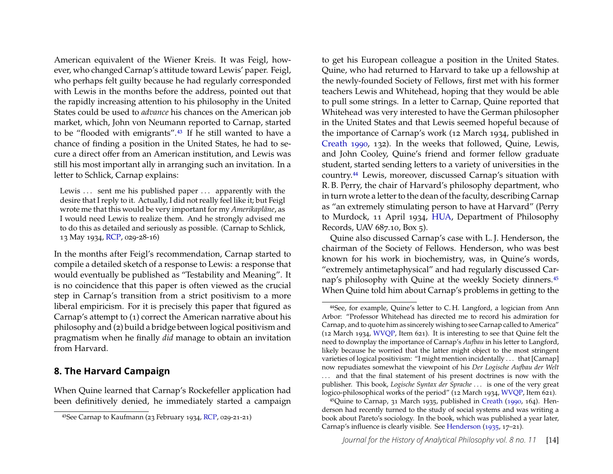American equivalent of the Wiener Kreis. It was Feigl, however, who changed Carnap's attitude toward Lewis' paper. Feigl, who perhaps felt guilty because he had regularly corresponded with Lewis in the months before the address, pointed out that the rapidly increasing attention to his philosophy in the United States could be used to *advance* his chances on the American job market, which, John von Neumann reported to Carnap, started to be "flooded with emigrants".<sup>[43](#page-14-1)</sup> If he still wanted to have a chance of finding a position in the United States, he had to secure a direct offer from an American institution, and Lewis was still his most important ally in arranging such an invitation. In a letter to Schlick, Carnap explains:

Lewis ... sent me his published paper ... apparently with the desire that I reply to it. Actually, I did not really feel like it; but Feigl wrote me that this would be very important for my *Amerikapläne*, as I would need Lewis to realize them. And he strongly advised me to do this as detailed and seriously as possible. (Carnap to Schlick, 13 May 1934, [RCP,](#page-20-0) 029-28-16)

In the months after Feigl's recommendation, Carnap started to compile a detailed sketch of a response to Lewis: a response that would eventually be published as "Testability and Meaning". It is no coincidence that this paper is often viewed as the crucial step in Carnap's transition from a strict positivism to a more liberal empiricism. For it is precisely this paper that figured as Carnap's attempt to (1) correct the American narrative about his philosophy and (2) build a bridge between logical positivism and pragmatism when he finally *did* manage to obtain an invitation from Harvard.

#### <span id="page-14-0"></span>**8. The Harvard Campaign**

When Quine learned that Carnap's Rockefeller application had been definitively denied, he immediately started a campaign to get his European colleague a position in the United States. Quine, who had returned to Harvard to take up a fellowship at the newly-founded Society of Fellows, first met with his former teachers Lewis and Whitehead, hoping that they would be able to pull some strings. In a letter to Carnap, Quine reported that Whitehead was very interested to have the German philosopher in the United States and that Lewis seemed hopeful because of the importance of Carnap's work (12 March 1934, published in [Creath 1990,](#page-21-16) 132). In the weeks that followed, Quine, Lewis, and John Cooley, Quine's friend and former fellow graduate student, started sending letters to a variety of universities in the country.[44](#page-14-2) Lewis, moreover, discussed Carnap's situation with R. B. Perry, the chair of Harvard's philosophy department, who in turn wrote a letter to the dean of the faculty, describing Carnap as "an extremely stimulating person to have at Harvard" (Perry to Murdock, 11 April 1934, [HUA,](#page-20-3) Department of Philosophy Records, UAV 687.10, Box 5).

Quine also discussed Carnap's case with L. J. Henderson, the chairman of the Society of Fellows. Henderson, who was best known for his work in biochemistry, was, in Quine's words, "extremely antimetaphysical" and had regularly discussed Carnap's philosophy with Quine at the weekly Society dinners.[45](#page-14-3) When Quine told him about Carnap's problems in getting to the

<span id="page-14-1"></span><sup>43</sup>See Carnap to Kaufmann (23 February 1934, [RCP,](#page-20-0) 029-21-21)

<span id="page-14-2"></span><sup>44</sup>See, for example, Quine's letter to C. H. Langford, a logician from Ann Arbor: "Professor Whitehead has directed me to record his admiration for Carnap, and to quote him as sincerely wishing to see Carnap called to America" (12 March 1934, [WVQP,](#page-20-5) Item 621). It is interesting to see that Quine felt the need to downplay the importance of Carnap's *Aufbau* in his letter to Langford, likely because he worried that the latter might object to the most stringent varieties of logical positivism: "I might mention incidentally . . . that [Carnap] now repudiates somewhat the viewpoint of his *Der Logische Aufbau der Welt* ... and that the final statement of his present doctrines is now with the publisher. This book, *Logische Syntax der Sprache* . . . is one of the very great logico-philosophical works of the period" (12 March 1934, [WVQP,](#page-20-5) Item 621).

<span id="page-14-3"></span> $45$ Quine to Carnap, 31 March 1935, published in [Creath](#page-21-16) [\(1990,](#page-21-16) 164). Henderson had recently turned to the study of social systems and was writing a book about Pareto's sociology. In the book, which was published a year later, Carnap's influence is clearly visible. See [Henderson](#page-21-21) [\(1935,](#page-21-21) 17–21).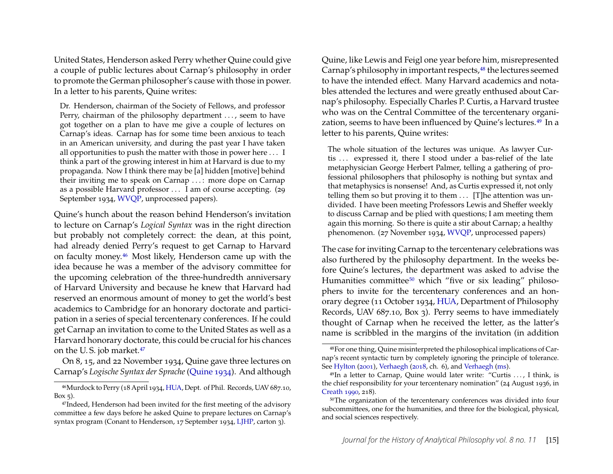United States, Henderson asked Perry whether Quine could give a couple of public lectures about Carnap's philosophy in order to promote the German philosopher's cause with those in power. In a letter to his parents, Quine writes:

Dr. Henderson, chairman of the Society of Fellows, and professor Perry, chairman of the philosophy department ..., seem to have got together on a plan to have me give a couple of lectures on Carnap's ideas. Carnap has for some time been anxious to teach in an American university, and during the past year I have taken all opportunities to push the matter with those in power here . . . I think a part of the growing interest in him at Harvard is due to my propaganda. Now I think there may be [a] hidden [motive] behind their inviting me to speak on Carnap . . . : more dope on Carnap as a possible Harvard professor . . . I am of course accepting. (29 September 1934, [WVQP,](#page-20-5) unprocessed papers).

Quine's hunch about the reason behind Henderson's invitation to lecture on Carnap's *Logical Syntax* was in the right direction but probably not completely correct: the dean, at this point, had already denied Perry's request to get Carnap to Harvard on faculty money.[46](#page-15-0) Most likely, Henderson came up with the idea because he was a member of the advisory committee for the upcoming celebration of the three-hundredth anniversary of Harvard University and because he knew that Harvard had reserved an enormous amount of money to get the world's best academics to Cambridge for an honorary doctorate and participation in a series of special tercentenary conferences. If he could get Carnap an invitation to come to the United States as well as a Harvard honorary doctorate, this could be crucial for his chances on the U. S. job market.[47](#page-15-1)

On 8, 15, and 22 November 1934, Quine gave three lectures on Carnap's *Logische Syntax der Sprache* [\(Quine 1934\)](#page-22-18). And although

Quine, like Lewis and Feigl one year before him, misrepresented Carnap's philosophy in important respects,<sup>[48](#page-15-2)</sup> the lectures seemed to have the intended effect. Many Harvard academics and notables attended the lectures and were greatly enthused about Carnap's philosophy. Especially Charles P. Curtis, a Harvard trustee who was on the Central Committee of the tercentenary organization, seems to have been influenced by Quine's lectures.[49](#page-15-3) In a letter to his parents, Quine writes:

The whole situation of the lectures was unique. As lawyer Curtis ... expressed it, there I stood under a bas-relief of the late metaphysician George Herbert Palmer, telling a gathering of professional philosophers that philosophy is nothing but syntax and that metaphysics is nonsense! And, as Curtis expressed it, not only telling them so but proving it to them . . . [T]he attention was undivided. I have been meeting Professors Lewis and Sheffer weekly to discuss Carnap and be plied with questions; I am meeting them again this morning. So there is quite a stir about Carnap; a healthy phenomenon. (27 November 1934, [WVQP,](#page-20-5) unprocessed papers)

The case for inviting Carnap to the tercentenary celebrations was also furthered by the philosophy department. In the weeks before Quine's lectures, the department was asked to advise the Humanities committee<sup>[50](#page-15-4)</sup> which "five or six leading" philosophers to invite for the tercentenary conferences and an honorary degree (11 October 1934, [HUA,](#page-20-3) Department of Philosophy Records, UAV 687.10, Box 3). Perry seems to have immediately thought of Carnap when he received the letter, as the latter's name is scribbled in the margins of the invitation (in addition

<span id="page-15-0"></span><sup>46</sup>Murdock to Perry (18 April 1934, [HUA,](#page-20-3) Dept. of Phil. Records, UAV 687.10,  $Box$  5).

<span id="page-15-1"></span><sup>47</sup>Indeed, Henderson had been invited for the first meeting of the advisory committee a few days before he asked Quine to prepare lectures on Carnap's syntax program (Conant to Henderson, 17 September 1934, [LJHP,](#page-20-4) carton 3).

<span id="page-15-2"></span><sup>48</sup>For one thing, Quine misinterpreted the philosophical implications of Carnap's recent syntactic turn by completely ignoring the principle of tolerance. See [Hylton](#page-21-22) [\(2001\)](#page-21-22), [Verhaegh](#page-23-10) [\(2018,](#page-23-10) ch. 6), and [Verhaegh](#page-23-8) [\(ms\)](#page-23-8).

<span id="page-15-3"></span><sup>49</sup>In a letter to Carnap, Quine would later write: "Curtis . . . , I think, is the chief responsibility for your tercentenary nomination" (24 August 1936, in [Creath 1990,](#page-21-16) 218).

<span id="page-15-4"></span><sup>50</sup>The organization of the tercentenary conferences was divided into four subcommittees, one for the humanities, and three for the biological, physical, and social sciences respectively.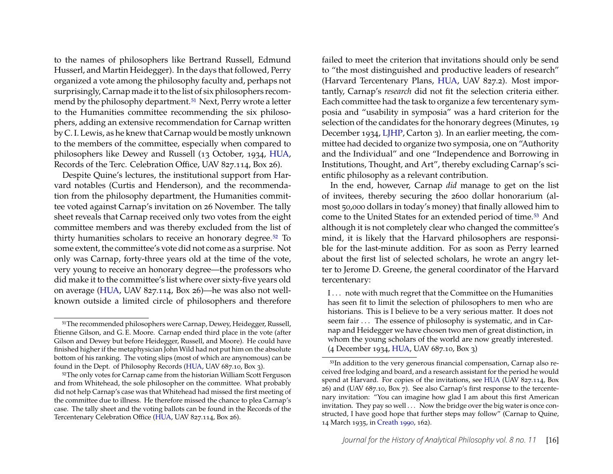to the names of philosophers like Bertrand Russell, Edmund Husserl, and Martin Heidegger). In the days that followed, Perry organized a vote among the philosophy faculty and, perhaps not surprisingly, Carnap made it to the list of six philosophers recom-mend by the philosophy department.<sup>[51](#page-16-0)</sup> Next, Perry wrote a letter to the Humanities committee recommending the six philosophers, adding an extensive recommendation for Carnap written by C. I. Lewis, as he knew that Carnap would be mostly unknown to the members of the committee, especially when compared to philosophers like Dewey and Russell (13 October, 1934, [HUA,](#page-20-3) Records of the Terc. Celebration Office, UAV 827.114, Box 26).

Despite Quine's lectures, the institutional support from Harvard notables (Curtis and Henderson), and the recommendation from the philosophy department, the Humanities committee voted against Carnap's invitation on 26 November. The tally sheet reveals that Carnap received only two votes from the eight committee members and was thereby excluded from the list of thirty humanities scholars to receive an honorary degree.<sup>[52](#page-16-1)</sup> To some extent, the committee's vote did not come as a surprise. Not only was Carnap, forty-three years old at the time of the vote, very young to receive an honorary degree—the professors who did make it to the committee's list where over sixty-five years old on average [\(HUA,](#page-20-3) UAV 827.114, Box 26)—he was also not wellknown outside a limited circle of philosophers and therefore failed to meet the criterion that invitations should only be send to "the most distinguished and productive leaders of research" (Harvard Tercentenary Plans, [HUA,](#page-20-3) UAV 827.2). Most importantly, Carnap's *research* did not fit the selection criteria either. Each committee had the task to organize a few tercentenary symposia and "usability in symposia" was a hard criterion for the selection of the candidates for the honorary degrees (Minutes, 19 December 1934, [LJHP,](#page-20-4) Carton 3). In an earlier meeting, the committee had decided to organize two symposia, one on "Authority and the Individual" and one "Independence and Borrowing in Institutions, Thought, and Art", thereby excluding Carnap's scientific philosophy as a relevant contribution.

In the end, however, Carnap *did* manage to get on the list of invitees, thereby securing the 2600 dollar honorarium (almost 50,000 dollars in today's money) that finally allowed him to come to the United States for an extended period of time.[53](#page-16-2) And although it is not completely clear who changed the committee's mind, it is likely that the Harvard philosophers are responsible for the last-minute addition. For as soon as Perry learned about the first list of selected scholars, he wrote an angry letter to Jerome D. Greene, the general coordinator of the Harvard tercentenary:

I . . . note with much regret that the Committee on the Humanities has seen fit to limit the selection of philosophers to men who are historians. This is I believe to be a very serious matter. It does not seem fair . . . The essence of philosophy is systematic, and in Carnap and Heidegger we have chosen two men of great distinction, in whom the young scholars of the world are now greatly interested. (4 December 1934, [HUA,](#page-20-3) UAV 687.10, Box 3)

<span id="page-16-0"></span><sup>&</sup>lt;sup>51</sup>The recommended philosophers were Carnap, Dewey, Heidegger, Russell, Étienne Gilson, and G. E. Moore. Carnap ended third place in the vote (after Gilson and Dewey but before Heidegger, Russell, and Moore). He could have finished higher if the metaphysician John Wild had not put him on the absolute bottom of his ranking. The voting slips (most of which are anynomous) can be found in the Dept. of Philosophy Records [\(HUA,](#page-20-3) UAV 687.10, Box 3).

<span id="page-16-1"></span><sup>&</sup>lt;sup>52</sup>The only votes for Carnap came from the historian William Scott Ferguson and from Whitehead, the sole philosopher on the committee. What probably did not help Carnap's case was that Whitehead had missed the first meeting of the committee due to illness. He therefore missed the chance to plea Carnap's case. The tally sheet and the voting ballots can be found in the Records of the Tercentenary Celebration Office [\(HUA,](#page-20-3) UAV 827.114, Box 26).

<span id="page-16-2"></span><sup>53</sup>In addition to the very generous financial compensation, Carnap also received free lodging and board, and a research assistant for the period he would spend at Harvard. For copies of the invitations, see [HUA](#page-20-3) (UAV 827.114, Box 26) and (UAV 687.10, Box 7). See also Carnap's first response to the tercentenary invitation: "You can imagine how glad I am about this first American invitation. They pay so well . . . Now the bridge over the big water is once constructed, I have good hope that further steps may follow" (Carnap to Quine, 14 March 1935, in [Creath 1990,](#page-21-16) 162).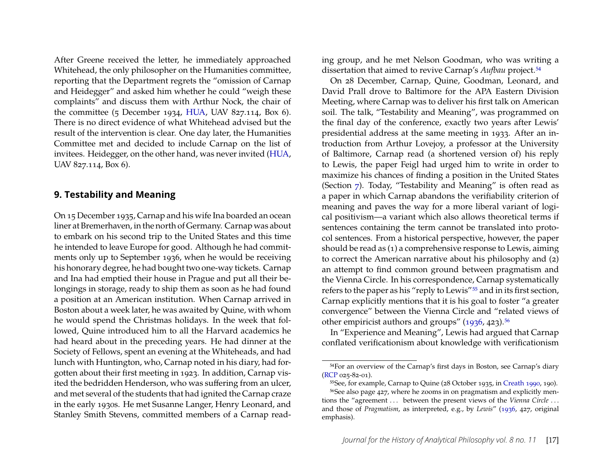After Greene received the letter, he immediately approached Whitehead, the only philosopher on the Humanities committee, reporting that the Department regrets the "omission of Carnap and Heidegger" and asked him whether he could "weigh these complaints" and discuss them with Arthur Nock, the chair of the committee (5 December 1934, [HUA,](#page-20-3) UAV 827.114, Box 6). There is no direct evidence of what Whitehead advised but the result of the intervention is clear. One day later, the Humanities Committee met and decided to include Carnap on the list of invitees. Heidegger, on the other hand, was never invited [\(HUA,](#page-20-3) UAV 827.114, Box 6).

#### <span id="page-17-0"></span>**9. Testability and Meaning**

On 15 December 1935, Carnap and his wife Ina boarded an ocean liner at Bremerhaven, in the north of Germany. Carnap was about to embark on his second trip to the United States and this time he intended to leave Europe for good. Although he had commitments only up to September 1936, when he would be receiving his honorary degree, he had bought two one-way tickets. Carnap and Ina had emptied their house in Prague and put all their belongings in storage, ready to ship them as soon as he had found a position at an American institution. When Carnap arrived in Boston about a week later, he was awaited by Quine, with whom he would spend the Christmas holidays. In the week that followed, Quine introduced him to all the Harvard academics he had heard about in the preceding years. He had dinner at the Society of Fellows, spent an evening at the Whiteheads, and had lunch with Huntington, who, Carnap noted in his diary, had forgotten about their first meeting in 1923. In addition, Carnap visited the bedridden Henderson, who was suffering from an ulcer, and met several of the students that had ignited the Carnap craze in the early 1930s. He met Susanne Langer, Henry Leonard, and Stanley Smith Stevens, committed members of a Carnap reading group, and he met Nelson Goodman, who was writing a dissertation that aimed to revive Carnap's *Aufbau* project.<sup>[54](#page-17-1)</sup>

On 28 December, Carnap, Quine, Goodman, Leonard, and David Prall drove to Baltimore for the APA Eastern Division Meeting, where Carnap was to deliver his first talk on American soil. The talk, "Testability and Meaning", was programmed on the final day of the conference, exactly two years after Lewis' presidential address at the same meeting in 1933. After an introduction from Arthur Lovejoy, a professor at the University of Baltimore, Carnap read (a shortened version of) his reply to Lewis, the paper Feigl had urged him to write in order to maximize his chances of finding a position in the United States (Section [7\)](#page-12-0). Today, "Testability and Meaning" is often read as a paper in which Carnap abandons the verifiability criterion of meaning and paves the way for a more liberal variant of logical positivism—a variant which also allows theoretical terms if sentences containing the term cannot be translated into protocol sentences. From a historical perspective, however, the paper should be read as (1) a comprehensive response to Lewis, aiming to correct the American narrative about his philosophy and (2) an attempt to find common ground between pragmatism and the Vienna Circle. In his correspondence, Carnap systematically refers to the paper as his "reply to Lewis"[55](#page-17-2) and in its first section, Carnap explicitly mentions that it is his goal to foster "a greater convergence" between the Vienna Circle and "related views of other empiricist authors and groups"  $(1936, 423).$ <sup>[56](#page-17-3)</sup>

In "Experience and Meaning", Lewis had argued that Carnap conflated verificationism about knowledge with verificationism

<span id="page-17-1"></span><sup>54</sup>For an overview of the Carnap's first days in Boston, see Carnap's diary [\(RCP](#page-20-0) 025-82-01).

<span id="page-17-3"></span><span id="page-17-2"></span><sup>55</sup>See, for example, Carnap to Quine (28 October 1935, in [Creath 1990,](#page-21-16) 190). 56See also page 427, where he zooms in on pragmatism and explicitly mentions the "agreement ... between the present views of the *Vienna Circle* ... and those of *Pragmatism*, as interpreted, e.g., by *Lewis*" [\(1936,](#page-21-3) 427, original emphasis).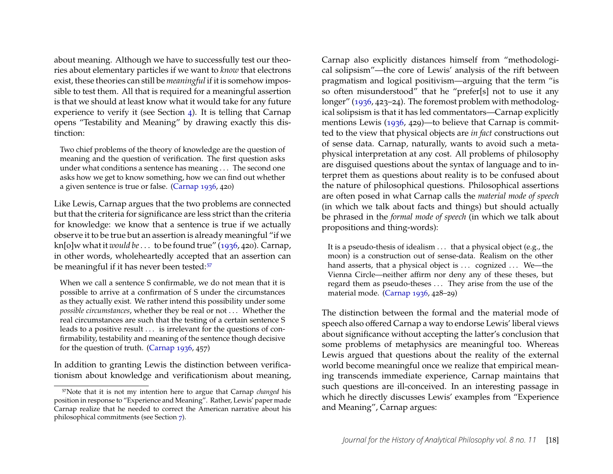about meaning. Although we have to successfully test our theories about elementary particles if we want to *know* that electrons exist, these theories can still be *meaningful* if it is somehow impossible to test them. All that is required for a meaningful assertion is that we should at least know what it would take for any future experience to verify it (see Section [4\)](#page-7-0). It is telling that Carnap opens "Testability and Meaning" by drawing exactly this distinction:

Two chief problems of the theory of knowledge are the question of meaning and the question of verification. The first question asks under what conditions a sentence has meaning . . . The second one asks how we get to know something, how we can find out whether a given sentence is true or false. [\(Carnap 1936,](#page-21-3) 420)

Like Lewis, Carnap argues that the two problems are connected but that the criteria for significance are less strict than the criteria for knowledge: we know that a sentence is true if we actually observe it to be true but an assertion is already meaningful "if we kn[o]w what it *would be*. . . to be found true" [\(1936,](#page-21-3) 420). Carnap, in other words, wholeheartedly accepted that an assertion can be meaningful if it has never been tested:<sup>[57](#page-18-0)</sup>

When we call a sentence S confirmable, we do not mean that it is possible to arrive at a confirmation of S under the circumstances as they actually exist. We rather intend this possibility under some *possible circumstances*, whether they be real or not . . . Whether the real circumstances are such that the testing of a certain sentence S leads to a positive result  $\ldots$  is irrelevant for the questions of confirmability, testability and meaning of the sentence though decisive for the question of truth. [\(Carnap 1936,](#page-21-3) 457)

In addition to granting Lewis the distinction between verificationism about knowledge and verificationism about meaning, Carnap also explicitly distances himself from "methodological solipsism"—the core of Lewis' analysis of the rift between pragmatism and logical positivism—arguing that the term "is so often misunderstood" that he "prefer[s] not to use it any longer" [\(1936,](#page-21-3) 423–24). The foremost problem with methodological solipsism is that it has led commentators—Carnap explicitly mentions Lewis [\(1936,](#page-21-3) 429)—to believe that Carnap is committed to the view that physical objects are *in fact* constructions out of sense data. Carnap, naturally, wants to avoid such a metaphysical interpretation at any cost. All problems of philosophy are disguised questions about the syntax of language and to interpret them as questions about reality is to be confused about the nature of philosophical questions. Philosophical assertions are often posed in what Carnap calls the *material mode of speech* (in which we talk about facts and things) but should actually be phrased in the *formal mode of speech* (in which we talk about propositions and thing-words):

It is a pseudo-thesis of idealism . . . that a physical object (e.g., the moon) is a construction out of sense-data. Realism on the other hand asserts, that a physical object is ... cognized ... We—the Vienna Circle—neither affirm nor deny any of these theses, but regard them as pseudo-theses . . . They arise from the use of the material mode. [\(Carnap 1936,](#page-21-3) 428–29)

The distinction between the formal and the material mode of speech also offered Carnap a way to endorse Lewis' liberal views about significance without accepting the latter's conclusion that some problems of metaphysics are meaningful too. Whereas Lewis argued that questions about the reality of the external world become meaningful once we realize that empirical meaning transcends immediate experience, Carnap maintains that such questions are ill-conceived. In an interesting passage in which he directly discusses Lewis' examples from "Experience and Meaning", Carnap argues:

<span id="page-18-0"></span><sup>57</sup>Note that it is not my intention here to argue that Carnap *changed* his position in response to "Experience and Meaning". Rather, Lewis' paper made Carnap realize that he needed to correct the American narrative about his philosophical commitments (see Section [7\)](#page-12-0).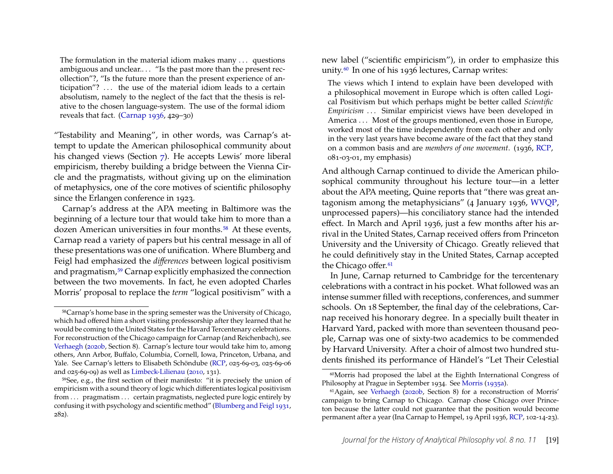The formulation in the material idiom makes many . . . questions ambiguous and unclear... "Is the past more than the present recollection"?, "Is the future more than the present experience of anticipation"? ... the use of the material idiom leads to a certain absolutism, namely to the neglect of the fact that the thesis is relative to the chosen language-system. The use of the formal idiom reveals that fact. [\(Carnap 1936,](#page-21-3) 429–30)

"Testability and Meaning", in other words, was Carnap's attempt to update the American philosophical community about his changed views (Section [7\)](#page-12-0). He accepts Lewis' more liberal empiricism, thereby building a bridge between the Vienna Circle and the pragmatists, without giving up on the elimination of metaphysics, one of the core motives of scientific philosophy since the Erlangen conference in 1923.

Carnap's address at the APA meeting in Baltimore was the beginning of a lecture tour that would take him to more than a dozen American universities in four months.<sup>[58](#page-19-0)</sup> At these events, Carnap read a variety of papers but his central message in all of these presentations was one of unification. Where Blumberg and Feigl had emphasized the *differences* between logical positivism and pragmatism,<sup>[59](#page-19-1)</sup> Carnap explicitly emphasized the connection between the two movements. In fact, he even adopted Charles Morris' proposal to replace the *term* "logical positivism" with a new label ("scientific empiricism"), in order to emphasize this unity.[60](#page-19-2) In one of his 1936 lectures, Carnap writes:

The views which I intend to explain have been developed with a philosophical movement in Europe which is often called Logical Positivism but which perhaps might be better called *Scientific Empiricism* ... Similar empiricist views have been developed in America . . . Most of the groups mentioned, even those in Europe, worked most of the time independently from each other and only in the very last years have become aware of the fact that they stand on a common basis and are *members of one movement*. (1936, [RCP,](#page-20-0) 081-03-01, my emphasis)

And although Carnap continued to divide the American philosophical community throughout his lecture tour—in a letter about the APA meeting, Quine reports that "there was great antagonism among the metaphysicians" (4 January 1936, [WVQP,](#page-20-5) unprocessed papers)—his conciliatory stance had the intended effect. In March and April 1936, just a few months after his arrival in the United States, Carnap received offers from Princeton University and the University of Chicago. Greatly relieved that he could definitively stay in the United States, Carnap accepted the Chicago offer.<sup>[61](#page-19-3)</sup>

In June, Carnap returned to Cambridge for the tercentenary celebrations with a contract in his pocket. What followed was an intense summer filled with receptions, conferences, and summer schools. On 18 September, the final day of the celebrations, Carnap received his honorary degree. In a specially built theater in Harvard Yard, packed with more than seventeen thousand people, Carnap was one of sixty-two academics to be commended by Harvard University. After a choir of almost two hundred students finished its performance of Händel's "Let Their Celestial

<span id="page-19-0"></span><sup>58</sup>Carnap's home base in the spring semester was the University of Chicago, which had offered him a short visiting professorship after they learned that he would be coming to the United States for the Havard Tercentenary celebrations. For reconstruction of the Chicago campaign for Carnap (and Reichenbach), see [Verhaegh](#page-23-7) [\(2020b,](#page-23-7) Section 8). Carnap's lecture tour would take him to, among others, Ann Arbor, Buffalo, Columbia, Cornell, Iowa, Princeton, Urbana, and Yale. See Carnap's letters to Elisabeth Schöndube [\(RCP,](#page-20-0) 025-69-03, 025-69-06 and 025-69-09) as well as [Limbeck-Lilienau](#page-22-1) [\(2010,](#page-22-1) 131).

<span id="page-19-1"></span><sup>59</sup>See, e.g., the first section of their manifesto: "it is precisely the union of empiricism with a sound theory of logic which differentiates logical positivism from ... pragmatism ... certain pragmatists, neglected pure logic entirely by confusing it with psychology and scientific method" [\(Blumberg and Feigl 1931,](#page-20-8) 282).

<span id="page-19-2"></span><sup>60</sup>Morris had proposed the label at the Eighth International Congress of Philosophy at Prague in September 1934. See [Morris](#page-22-19) [\(1935a\)](#page-22-19).

<span id="page-19-3"></span><sup>61</sup>Again, see [Verhaegh](#page-23-7) [\(2020b,](#page-23-7) Section 8) for a reconstruction of Morris' campaign to bring Carnap to Chicago. Carnap chose Chicago over Princeton because the latter could not guarantee that the position would become permanent after a year (Ina Carnap to Hempel, 19 April 1936, [RCP,](#page-20-0) 102-14-23).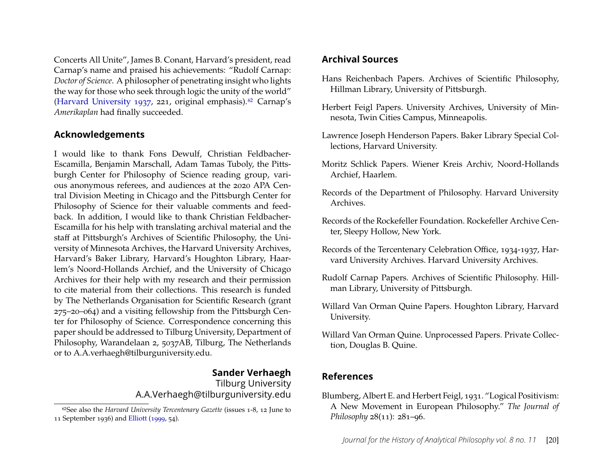Concerts All Unite", James B. Conant, Harvard's president, read Carnap's name and praised his achievements: "Rudolf Carnap: *Doctor of Science*. A philosopher of penetrating insight who lights the way for those who seek through logic the unity of the world" [\(Harvard University 1937,](#page-21-23) 221, original emphasis).<sup>[62](#page-20-9)</sup> Carnap's *Amerikaplan* had finally succeeded.

#### **Acknowledgements**

I would like to thank Fons Dewulf, Christian Feldbacher-Escamilla, Benjamin Marschall, Adam Tamas Tuboly, the Pittsburgh Center for Philosophy of Science reading group, various anonymous referees, and audiences at the 2020 APA Central Division Meeting in Chicago and the Pittsburgh Center for Philosophy of Science for their valuable comments and feedback. In addition, I would like to thank Christian Feldbacher-Escamilla for his help with translating archival material and the staff at Pittsburgh's Archives of Scientific Philosophy, the University of Minnesota Archives, the Harvard University Archives, Harvard's Baker Library, Harvard's Houghton Library, Haarlem's Noord-Hollands Archief, and the University of Chicago Archives for their help with my research and their permission to cite material from their collections. This research is funded by The Netherlands Organisation for Scientific Research (grant 275–20–064) and a visiting fellowship from the Pittsburgh Center for Philosophy of Science. Correspondence concerning this paper should be addressed to Tilburg University, Department of Philosophy, Warandelaan 2, 5037AB, Tilburg, The Netherlands or to A.A.verhaegh@tilburguniversity.edu.

# **Sander Verhaegh**

Tilburg University A.A.Verhaegh@tilburguniversity.edu

# **Archival Sources**

- <span id="page-20-1"></span>Hans Reichenbach Papers. Archives of Scientific Philosophy, Hillman Library, University of Pittsburgh.
- <span id="page-20-2"></span>Herbert Feigl Papers. University Archives, University of Minnesota, Twin Cities Campus, Minneapolis.
- <span id="page-20-4"></span>Lawrence Joseph Henderson Papers. Baker Library Special Collections, Harvard University.
- <span id="page-20-7"></span>Moritz Schlick Papers. Wiener Kreis Archiv, Noord-Hollands Archief, Haarlem.
- <span id="page-20-3"></span>Records of the Department of Philosophy. Harvard University Archives.
- <span id="page-20-6"></span>Records of the Rockefeller Foundation. Rockefeller Archive Center, Sleepy Hollow, New York.
- Records of the Tercentenary Celebration Office, 1934-1937, Harvard University Archives. Harvard University Archives.
- <span id="page-20-0"></span>Rudolf Carnap Papers. Archives of Scientific Philosophy. Hillman Library, University of Pittsburgh.
- <span id="page-20-5"></span>Willard Van Orman Quine Papers. Houghton Library, Harvard University.
- Willard Van Orman Quine. Unprocessed Papers. Private Collection, Douglas B. Quine.

## **References**

<span id="page-20-8"></span>Blumberg, Albert E. and Herbert Feigl, 1931. "Logical Positivism: A New Movement in European Philosophy." *The Journal of Philosophy* 28(11): 281–96.

<span id="page-20-9"></span><sup>62</sup>See also the *Harvard University Tercentenary Gazette* (issues 1-8, 12 June to 11 September 1936) and [Elliott](#page-21-24) [\(1999,](#page-21-24) 54).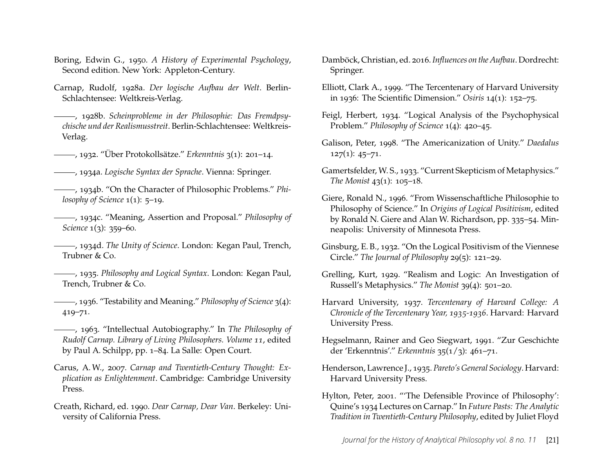- <span id="page-21-9"></span>Boring, Edwin G., 1950. *A History of Experimental Psychology*, Second edition. New York: Appleton-Century.
- <span id="page-21-4"></span>Carnap, Rudolf, 1928a. *Der logische Aufbau der Welt*. Berlin-Schlachtensee: Weltkreis-Verlag.
- <span id="page-21-17"></span>, 1928b. *Scheinprobleme in der Philosophie: Das Fremdpsychische und der Realismusstreit*. Berlin-Schlachtensee: Weltkreis-Verlag.
- <span id="page-21-18"></span>, 1932. "Über Protokollsätze." *Erkenntnis* 3(1): 201–14.
- <span id="page-21-19"></span>, 1934a. *Logische Syntax der Sprache*. Vienna: Springer.
- <span id="page-21-12"></span>, 1934b. "On the Character of Philosophic Problems." *Philosophy of Science* 1(1): 5–19.
- <span id="page-21-13"></span>, 1934c. "Meaning, Assertion and Proposal." *Philosophy of Science* 1(3): 359–60.
- <span id="page-21-14"></span>, 1934d. *The Unity of Science*. London: Kegan Paul, Trench, Trubner & Co.
- <span id="page-21-15"></span>, 1935. *Philosophy and Logical Syntax*. London: Kegan Paul, Trench, Trubner & Co.
- <span id="page-21-3"></span>, 1936. "Testability and Meaning." *Philosophy of Science* 3(4): 419–71.
- <span id="page-21-0"></span>, 1963. "Intellectual Autobiography." In *The Philosophy of Rudolf Carnap. Library of Living Philosophers. Volume 11*, edited by Paul A. Schilpp, pp. 1–84. La Salle: Open Court.
- <span id="page-21-5"></span>Carus, A. W., 2007. *Carnap and Twentieth-Century Thought: Explication as Enlightenment*. Cambridge: Cambridge University Press.
- <span id="page-21-16"></span>Creath, Richard, ed. 1990. *Dear Carnap, Dear Van*. Berkeley: University of California Press.
- <span id="page-21-6"></span>Damböck, Christian, ed. 2016.*Influences on the Aufbau*. Dordrecht: Springer.
- <span id="page-21-24"></span>Elliott, Clark A., 1999. "The Tercentenary of Harvard University in 1936: The Scientific Dimension." *Osiris* 14(1): 152–75.
- <span id="page-21-20"></span>Feigl, Herbert, 1934. "Logical Analysis of the Psychophysical Problem." *Philosophy of Science* 1(4): 420–45.
- <span id="page-21-2"></span>Galison, Peter, 1998. "The Americanization of Unity." *Daedalus* 127(1): 45–71.
- <span id="page-21-10"></span>Gamertsfelder, W. S., 1933. "Current Skepticism of Metaphysics." *The Monist* 43(1): 105–18.
- <span id="page-21-1"></span>Giere, Ronald N., 1996. "From Wissenschaftliche Philosophie to Philosophy of Science." In *Origins of Logical Positivism*, edited by Ronald N. Giere and Alan W. Richardson, pp. 335–54. Minneapolis: University of Minnesota Press.
- <span id="page-21-11"></span>Ginsburg, E. B., 1932. "On the Logical Positivism of the Viennese Circle." *The Journal of Philosophy* 29(5): 121–29.
- <span id="page-21-8"></span>Grelling, Kurt, 1929. "Realism and Logic: An Investigation of Russell's Metaphysics." *The Monist* 39(4): 501–20.
- <span id="page-21-23"></span>Harvard University, 1937. *Tercentenary of Harvard College: A Chronicle of the Tercentenary Year, 1935-1936*. Harvard: Harvard University Press.
- <span id="page-21-7"></span>Hegselmann, Rainer and Geo Siegwart, 1991. "Zur Geschichte der 'Erkenntnis'." *Erkenntnis* 35(1/3): 461–71.
- <span id="page-21-21"></span>Henderson, Lawrence J., 1935. *Pareto's General Sociology*. Harvard: Harvard University Press.
- <span id="page-21-22"></span>Hylton, Peter, 2001. "'The Defensible Province of Philosophy': Quine's 1934 Lectures on Carnap." In *Future Pasts: The Analytic Tradition in Twentieth-Century Philosophy*, edited by Juliet Floyd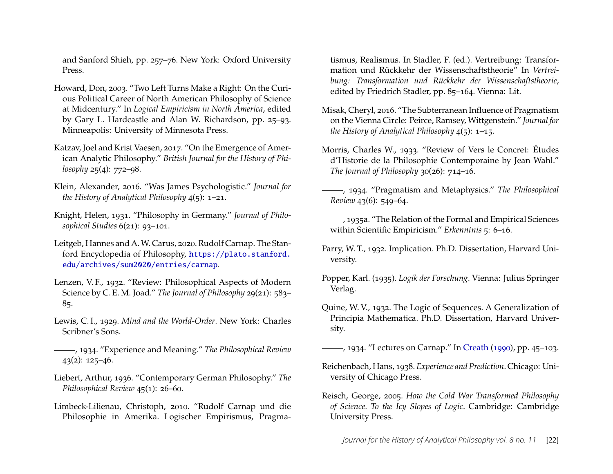and Sanford Shieh, pp. 257–76. New York: Oxford University Press.

- <span id="page-22-3"></span>Howard, Don, 2003. "Two Left Turns Make a Right: On the Curious Political Career of North American Philosophy of Science at Midcentury." In *Logical Empiricism in North America*, edited by Gary L. Hardcastle and Alan W. Richardson, pp. 25–93. Minneapolis: University of Minnesota Press.
- <span id="page-22-0"></span>Katzav, Joel and Krist Vaesen, 2017. "On the Emergence of American Analytic Philosophy." *British Journal for the History of Philosophy* 25(4): 772–98.
- <span id="page-22-5"></span>Klein, Alexander, 2016. "Was James Psychologistic." *Journal for the History of Analytical Philosophy* 4(5): 1–21.
- <span id="page-22-8"></span>Knight, Helen, 1931. "Philosophy in Germany." *Journal of Philosophical Studies* 6(21): 93–101.
- <span id="page-22-7"></span>Leitgeb, Hannes and A. W. Carus, 2020. Rudolf Carnap. The Stanford Encyclopedia of Philosophy, [https://plato.stanford.](https://plato.stanford.edu/archives/sum2020/entries/carnap) [edu/archives/sum2020/entries/carnap](https://plato.stanford.edu/archives/sum2020/entries/carnap).
- <span id="page-22-10"></span>Lenzen, V. F., 1932. "Review: Philosophical Aspects of Modern Science by C. E. M. Joad." *The Journal of Philosophy* 29(21): 583– 85.
- <span id="page-22-13"></span>Lewis, C. I., 1929. *Mind and the World-Order*. New York: Charles Scribner's Sons.
- <span id="page-22-14"></span>, 1934. "Experience and Meaning." *The Philosophical Review* 43(2): 125–46.
- <span id="page-22-9"></span>Liebert, Arthur, 1936. "Contemporary German Philosophy." *The Philosophical Review* 45(1): 26–60.
- <span id="page-22-1"></span>Limbeck-Lilienau, Christoph, 2010. "Rudolf Carnap und die Philosophie in Amerika. Logischer Empirismus, Pragma-

tismus, Realismus. In Stadler, F. (ed.). Vertreibung: Transformation und Rückkehr der Wissenschaftstheorie" In *Vertreibung: Transformation und Rückkehr der Wissenschaftstheorie*, edited by Friedrich Stadler, pp. 85–164. Vienna: Lit.

- <span id="page-22-6"></span>Misak, Cheryl, 2016. "The Subterranean Influence of Pragmatism on the Vienna Circle: Peirce, Ramsey, Wittgenstein." *Journal for the History of Analytical Philosophy* 4(5): 1–15.
- <span id="page-22-11"></span>Morris, Charles W., 1933. "Review of Vers le Concret: Études d'Historie de la Philosophie Contemporaine by Jean Wahl." *The Journal of Philosophy* 30(26): 714–16.
- <span id="page-22-12"></span>, 1934. "Pragmatism and Metaphysics." *The Philosophical Review* 43(6): 549–64.
- <span id="page-22-19"></span>, 1935a. "The Relation of the Formal and Empirical Sciences within Scientific Empiricism." *Erkenntnis* 5: 6–16.
- <span id="page-22-15"></span>Parry, W. T., 1932. Implication. Ph.D. Dissertation, Harvard University.
- <span id="page-22-17"></span>Popper, Karl. (1935). *Logik der Forschung*. Vienna: Julius Springer Verlag.
- <span id="page-22-16"></span>Quine, W. V., 1932. The Logic of Sequences. A Generalization of Principia Mathematica. Ph.D. Dissertation, Harvard University.

<span id="page-22-18"></span>, 1934. "Lectures on Carnap." In [Creath](#page-21-16) [\(1990\)](#page-21-16), pp. 45–103.

- <span id="page-22-2"></span>Reichenbach, Hans, 1938. *Experience and Prediction*. Chicago: University of Chicago Press.
- <span id="page-22-4"></span>Reisch, George, 2005. *How the Cold War Transformed Philosophy of Science. To the Icy Slopes of Logic*. Cambridge: Cambridge University Press.